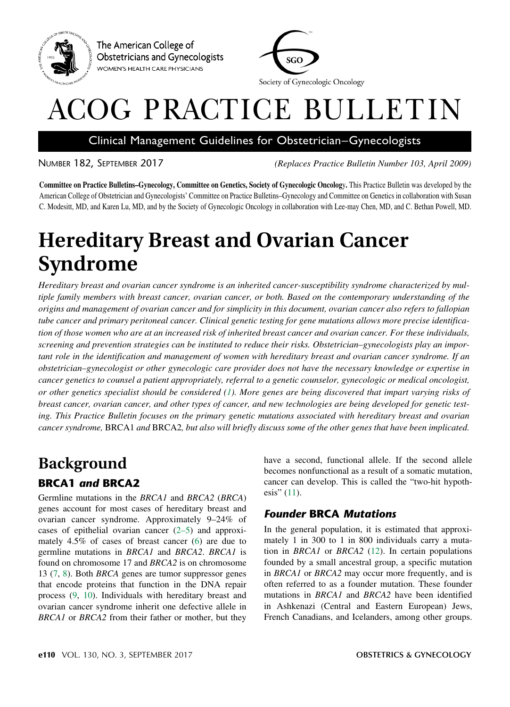

The American College of **Obstetricians and Gynecologists WOMEN'S HEALTH CARE PHYSICIANS** 



# ACOG PRACTICE BULLET IN

Clinical Management Guidelines for Obstetrician–Gynecologists

Number 182, September 2017 *(Replaces Practice Bulletin Number 103, April 2009)* 

**Committee on Practice Bulletins–Gynecology, Committee on Genetics, Society of Gynecologic Oncolog**y**.** This Practice Bulletin was developed by the American College of Obstetrician and Gynecologists' Committee on Practice Bulletins–Gynecology and Committee on Genetics in collaboration with Susan C. Modesitt, MD, and Karen Lu, MD, and by the Society of Gynecologic Oncology in collaboration with Lee-may Chen, MD, and C. Bethan Powell, MD.

## **Hereditary Breast and Ovarian Cancer Syndrome**

*Hereditary breast and ovarian cancer syndrome is an inherited cancer-susceptibility syndrome characterized by multiple family members with breast cancer, ovarian cancer, or both. Based on the contemporary understanding of the origins and management of ovarian cancer and for simplicity in this document, ovarian cancer also refers to fallopian tube cancer and primary peritoneal cancer. Clinical genetic testing for gene mutations allows more precise identification of those women who are at an increased risk of inherited breast cancer and ovarian cancer. For these individuals, screening and prevention strategies can be instituted to reduce their risks. Obstetrician–gynecologists play an important role in the identification and management of women with hereditary breast and ovarian cancer syndrome. If an obstetrician–gynecologist or other gynecologic care provider does not have the necessary knowledge or expertise in cancer genetics to counsel a patient appropriately, referral to a genetic counselor, gynecologic or medical oncologist, or other genetics specialist should be considered [\(1](#page-11-0)). More genes are being discovered that impart varying risks of breast cancer, ovarian cancer, and other types of cancer, and new technologies are being developed for genetic testing. This Practice Bulletin focuses on the primary genetic mutations associated with hereditary breast and ovarian cancer syndrome,* BRCA1 *and* BRCA2*, but also will briefly discuss some of the other genes that have been implicated.* 

## <span id="page-0-7"></span>**Background**

### **BRCA1** *and* **BRCA2**

<span id="page-0-8"></span><span id="page-0-4"></span><span id="page-0-3"></span><span id="page-0-2"></span><span id="page-0-1"></span><span id="page-0-0"></span>Germline mutations in the *BRCA1* and *BRCA2* (*BRCA*) genes account for most cases of hereditary breast and ovarian cancer syndrome. Approximately 9–24% of cases of epithelial ovarian cancer [\(2–5](#page-11-1)) and approximately 4.5% of cases of breast cancer [\(6](#page-11-2)) are due to germline mutations in *BRCA1* and *BRCA2*. *BRCA1* is found on chromosome 17 and *BRCA2* is on chromosome 13 [\(7](#page-11-3), [8\)](#page-11-4). Both *BRCA* genes are tumor suppressor genes that encode proteins that function in the DNA repair process [\(9](#page-11-5), [10](#page-11-6)). Individuals with hereditary breast and ovarian cancer syndrome inherit one defective allele in *BRCA1* or *BRCA2* from their father or mother, but they have a second, functional allele. If the second allele becomes nonfunctional as a result of a somatic mutation, cancer can develop. This is called the "two-hit hypothesis" ([11\)](#page-11-7).

### <span id="page-0-5"></span>*Founder* **BRCA** *Mutations*

<span id="page-0-6"></span>In the general population, it is estimated that approximately 1 in 300 to 1 in 800 individuals carry a mutation in *BRCA1* or *BRCA2* ([12\)](#page-11-8). In certain populations founded by a small ancestral group, a specific mutation in *BRCA1* or *BRCA2* may occur more frequently, and is often referred to as a founder mutation. These founder mutations in *BRCA1* and *BRCA2* have been identified in Ashkenazi (Central and Eastern European) Jews, French Canadians, and Icelanders, among other groups.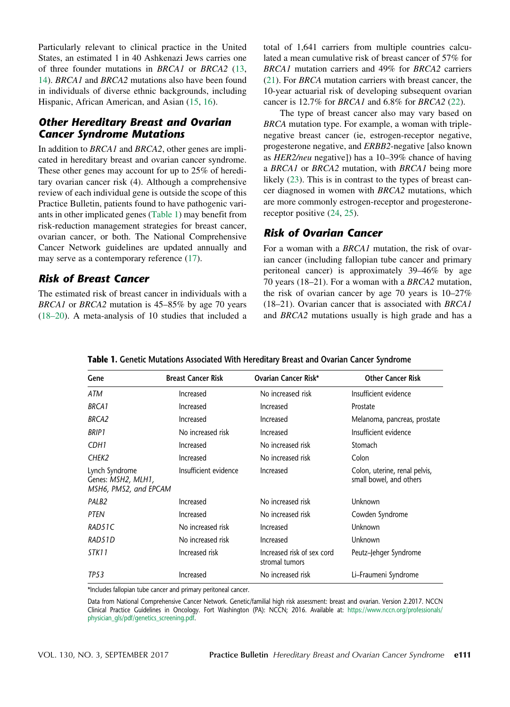<span id="page-1-2"></span>Particularly relevant to clinical practice in the United States, an estimated 1 in 40 Ashkenazi Jews carries one of three founder mutations in *BRCA1* or *BRCA2* ([13,](#page-11-9) [14](#page-11-10)). *BRCA1* and *BRCA2* mutations also have been found in individuals of diverse ethnic backgrounds, including Hispanic, African American, and Asian [\(15](#page-11-11), [16\)](#page-11-12).

#### <span id="page-1-3"></span>*Other Hereditary Breast and Ovarian Cancer Syndrome Mutations*

In addition to *BRCA1* and *BRCA2*, other genes are implicated in hereditary breast and ovarian cancer syndrome. These other genes may account for up to 25% of hereditary ovarian cancer risk (4). Although a comprehensive review of each individual gene is outside the scope of this Practice Bulletin, patients found to have pathogenic variants in other implicated genes ([Table 1\)](#page-1-0) may benefit from risk-reduction management strategies for breast cancer, ovarian cancer, or both. The National Comprehensive Cancer Network guidelines are updated annually and may serve as a contemporary reference ([17\)](#page-11-13).

#### <span id="page-1-5"></span>*Risk of Breast Cancer*

<span id="page-1-6"></span>The estimated risk of breast cancer in individuals with a *BRCA1* or *BRCA2* mutation is 45–85% by age 70 years [\(18–20](#page-11-14)). A meta-analysis of 10 studies that included a <span id="page-1-7"></span><span id="page-1-1"></span>total of 1,641 carriers from multiple countries calculated a mean cumulative risk of breast cancer of 57% for *BRCA1* mutation carriers and 49% for *BRCA2* carriers ([21\)](#page-12-0). For *BRCA* mutation carriers with breast cancer, the 10-year actuarial risk of developing subsequent ovarian cancer is 12.7% for *BRCA1* and 6.8% for *BRCA2* ([22\)](#page-12-1).

<span id="page-1-8"></span><span id="page-1-4"></span>The type of breast cancer also may vary based on *BRCA* mutation type. For example, a woman with triplenegative breast cancer (ie, estrogen-receptor negative, progesterone negative, and *ERBB2*-negative [also known as *HER2/neu* negative]) has a 10–39% chance of having a *BRCA1* or *BRCA2* mutation, with *BRCA1* being more likely  $(23)$  $(23)$ . This is in contrast to the types of breast cancer diagnosed in women with *BRCA2* mutations, which are more commonly estrogen-receptor and progesteronereceptor positive ([24,](#page-12-3) [25](#page-12-4)).

#### <span id="page-1-11"></span><span id="page-1-10"></span><span id="page-1-9"></span>*Risk of Ovarian Cancer*

For a woman with a *BRCA1* mutation, the risk of ovarian cancer (including fallopian tube cancer and primary peritoneal cancer) is approximately 39–46% by age 70 years (18–21). For a woman with a *BRCA2* mutation, the risk of ovarian cancer by age 70 years is 10–27% (18–21). Ovarian cancer that is associated with *BRCA1* and *BRCA2* mutations usually is high grade and has a

| Gene                                                          | <b>Breast Cancer Risk</b> | <b>Ovarian Cancer Risk*</b>                  | <b>Other Cancer Risk</b>                                 |
|---------------------------------------------------------------|---------------------------|----------------------------------------------|----------------------------------------------------------|
| ATM                                                           | Increased                 | No increased risk                            | Insufficient evidence                                    |
| <b>BRCA1</b>                                                  | Increased                 | Increased                                    | Prostate                                                 |
| <b>BRCA2</b>                                                  | Increased                 | Increased                                    | Melanoma, pancreas, prostate                             |
| BRIP1                                                         | No increased risk         | Increased                                    | Insufficient evidence                                    |
| CDH1                                                          | Increased                 | No increased risk                            | Stomach                                                  |
| CHEK2                                                         | Increased                 | No increased risk                            | Colon                                                    |
| Lynch Syndrome<br>Genes: MSH2, MLH1,<br>MSH6, PMS2, and EPCAM | Insufficient evidence     | Increased                                    | Colon, uterine, renal pelvis,<br>small bowel, and others |
| PALB <sub>2</sub>                                             | Increased                 | No increased risk                            | Unknown                                                  |
| PTEN                                                          | Increased                 | No increased risk                            | Cowden Syndrome                                          |
| RAD51C                                                        | No increased risk         | Increased                                    | Unknown                                                  |
| RAD51D                                                        | No increased risk         | Increased                                    | Unknown                                                  |
| STK11                                                         | Increased risk            | Increased risk of sex cord<br>stromal tumors | Peutz-Jehger Syndrome                                    |
| TP53                                                          | Increased                 | No increased risk                            | Li-Fraumeni Syndrome                                     |

<span id="page-1-0"></span>**Table 1. Genetic Mutations Associated With Hereditary Breast and Ovarian Cancer Syndrome**

\*Includes fallopian tube cancer and primary peritoneal cancer.

Data from National Comprehensive Cancer Network. Genetic/familial high risk assessment: breast and ovarian. Version 2.2017. NCCN Clinical Practice Guidelines in Oncology. Fort Washington (PA): NCCN; 2016. Available at: [https://www.nccn.org/professionals/](https://www.nccn.org/store/login/login.aspx?ReturnURL=https://www.nccn.org/professionals/physician_gls/pdf/genetics_screening.pdf) [physician\\_gls/pdf/genetics\\_screening.pdf.](https://www.nccn.org/store/login/login.aspx?ReturnURL=https://www.nccn.org/professionals/physician_gls/pdf/genetics_screening.pdf)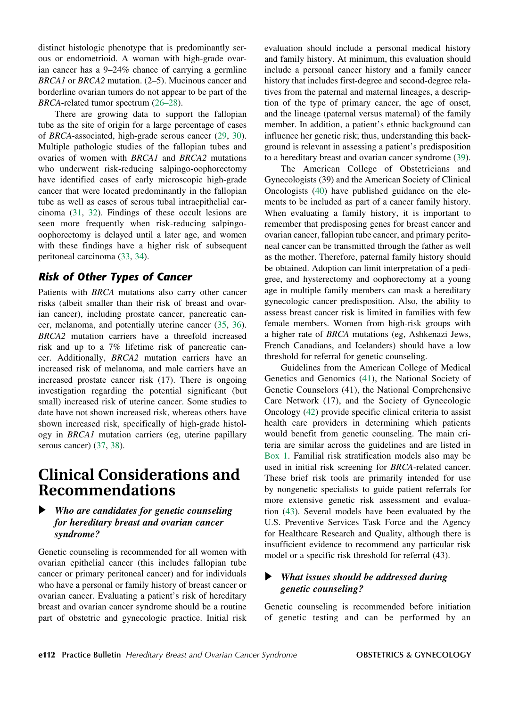distinct histologic phenotype that is predominantly serous or endometrioid. A woman with high-grade ovarian cancer has a 9–24% chance of carrying a germline *BRCA1* or *BRCA2* mutation. (2–5). Mucinous cancer and borderline ovarian tumors do not appear to be part of the *BRCA*-related tumor spectrum ([26–28\)](#page-12-10).

<span id="page-2-2"></span><span id="page-2-1"></span>There are growing data to support the fallopian tube as the site of origin for a large percentage of cases of *BRCA*-associated, high-grade serous cancer [\(29](#page-12-11), [30](#page-12-12)). Multiple pathologic studies of the fallopian tubes and ovaries of women with *BRCA1* and *BRCA2* mutations who underwent risk-reducing salpingo-oophorectomy have identified cases of early microscopic high-grade cancer that were located predominantly in the fallopian tube as well as cases of serous tubal intraepithelial carcinoma ([31,](#page-12-13) [32\)](#page-12-14). Findings of these occult lesions are seen more frequently when risk-reducing salpingooophorectomy is delayed until a later age, and women with these findings have a higher risk of subsequent peritoneal carcinoma [\(33](#page-12-15), [34\)](#page-12-16).

#### <span id="page-2-6"></span><span id="page-2-5"></span><span id="page-2-4"></span>*Risk of Other Types of Cancer*

<span id="page-2-8"></span>Patients with *BRCA* mutations also carry other cancer risks (albeit smaller than their risk of breast and ovarian cancer), including prostate cancer, pancreatic cancer, melanoma, and potentially uterine cancer ([35,](#page-12-17) [36](#page-12-18)). *BRCA2* mutation carriers have a threefold increased risk and up to a 7% lifetime risk of pancreatic cancer. Additionally, *BRCA2* mutation carriers have an increased risk of melanoma, and male carriers have an increased prostate cancer risk (17). There is ongoing investigation regarding the potential significant (but small) increased risk of uterine cancer. Some studies to date have not shown increased risk, whereas others have shown increased risk, specifically of high-grade histology in *BRCA1* mutation carriers (eg, uterine papillary serous cancer) ([37,](#page-12-19) [38\)](#page-12-20).

## <span id="page-2-10"></span>**Clinical Considerations and Recommendations**

#### *Who are candidates for genetic counseling for hereditary breast and ovarian cancer syndrome?*

Genetic counseling is recommended for all women with ovarian epithelial cancer (this includes fallopian tube cancer or primary peritoneal cancer) and for individuals who have a personal or family history of breast cancer or ovarian cancer. Evaluating a patient's risk of hereditary breast and ovarian cancer syndrome should be a routine part of obstetric and gynecologic practice. Initial risk

evaluation should include a personal medical history and family history. At minimum, this evaluation should include a personal cancer history and a family cancer history that includes first-degree and second-degree relatives from the paternal and maternal lineages, a description of the type of primary cancer, the age of onset, and the lineage (paternal versus maternal) of the family member. In addition, a patient's ethnic background can influence her genetic risk; thus, understanding this background is relevant in assessing a patient's predisposition to a hereditary breast and ovarian cancer syndrome ([39\)](#page-12-5).

<span id="page-2-13"></span><span id="page-2-12"></span><span id="page-2-7"></span><span id="page-2-3"></span>The American College of Obstetricians and Gynecologists (39) and the American Society of Clinical Oncologists ([40\)](#page-12-6) have published guidance on the elements to be included as part of a cancer family history. When evaluating a family history, it is important to remember that predisposing genes for breast cancer and ovarian cancer, fallopian tube cancer, and primary peritoneal cancer can be transmitted through the father as well as the mother. Therefore, paternal family history should be obtained. Adoption can limit interpretation of a pedigree, and hysterectomy and oophorectomy at a young age in multiple family members can mask a hereditary gynecologic cancer predisposition. Also, the ability to assess breast cancer risk is limited in families with few female members. Women from high-risk groups with a higher rate of *BRCA* mutations (eg, Ashkenazi Jews, French Canadians, and Icelanders) should have a low threshold for referral for genetic counseling.

<span id="page-2-15"></span><span id="page-2-14"></span><span id="page-2-11"></span><span id="page-2-9"></span><span id="page-2-0"></span>Guidelines from the American College of Medical Genetics and Genomics ([41\)](#page-12-7), the National Society of Genetic Counselors (41), the National Comprehensive Care Network (17), and the Society of Gynecologic Oncology [\(42](#page-12-8)) provide specific clinical criteria to assist health care providers in determining which patients would benefit from genetic counseling. The main criteria are similar across the guidelines and are listed in [Box 1](#page-3-0). Familial risk stratification models also may be used in initial risk screening for *BRCA*-related cancer. These brief risk tools are primarily intended for use by nongenetic specialists to guide patient referrals for more extensive genetic risk assessment and evaluation ([43\)](#page-12-9). Several models have been evaluated by the U.S. Preventive Services Task Force and the Agency for Healthcare Research and Quality, although there is insufficient evidence to recommend any particular risk model or a specific risk threshold for referral (43).

#### <span id="page-2-16"></span>*What issues should be addressed during genetic counseling?*

Genetic counseling is recommended before initiation of genetic testing and can be performed by an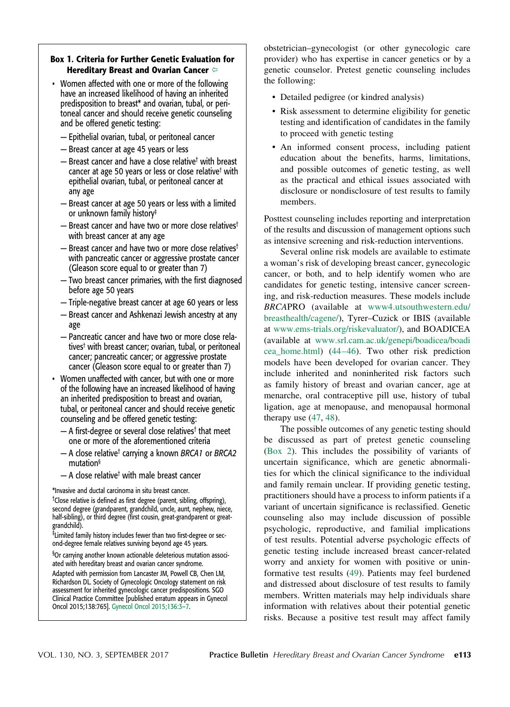#### <span id="page-3-0"></span>**Box 1. Criteria for Further Genetic Evaluation for Hereditary Breast and Ovarian Cancer**

- Women affected with one or more of the following have an increased likelihood of having an inherited predisposition to breast\* and ovarian, tubal, or peritoneal cancer and should receive genetic counseling and be offered genetic testing:
	- Epithelial ovarian, tubal, or peritoneal cancer
	- Breast cancer at age 45 years or less
	- Breast cancer and have a close relative† with breast cancer at age 50 years or less or close relative† with epithelial ovarian, tubal, or peritoneal cancer at any age
	- Breast cancer at age 50 years or less with a limited or unknown family history‡
	- Breast cancer and have two or more close relatives† with breast cancer at any age
	- Breast cancer and have two or more close relatives† with pancreatic cancer or aggressive prostate cancer (Gleason score equal to or greater than 7)
	- Two breast cancer primaries, with the first diagnosed before age 50 years
	- Triple-negative breast cancer at age 60 years or less
	- Breast cancer and Ashkenazi Jewish ancestry at any age
	- Pancreatic cancer and have two or more close relatives† with breast cancer; ovarian, tubal, or peritoneal cancer; pancreatic cancer; or aggressive prostate cancer (Gleason score equal to or greater than 7)
- Women unaffected with cancer, but with one or more of the following have an increased likelihood of having an inherited predisposition to breast and ovarian, tubal, or peritoneal cancer and should receive genetic counseling and be offered genetic testing:
	- A first-degree or several close relatives† that meet one or more of the aforementioned criteria
	- A close relative† carrying a known *BRCA1* or *BRCA2* mutation§
	- $-$  A close relative† with male breast cancer

\*Invasive and ductal carcinoma in situ breast cancer.

<sup>†</sup>Close relative is defined as first degree (parent, sibling, offspring), second degree (grandparent, grandchild, uncle, aunt, nephew, niece, half-sibling), or third degree (first cousin, great-grandparent or greatgrandchild).

‡ Limited family history includes fewer than two first-degree or second-degree female relatives surviving beyond age 45 years.

§ Or carrying another known actionable deleterious mutation associated with hereditary breast and ovarian cancer syndrome.

Adapted with permission from Lancaster JM, Powell CB, Chen LM, Richardson DL. Society of Gynecologic Oncology statement on risk assessment for inherited gynecologic cancer predispositions. SGO Clinical Practice Committee [published erratum appears in Gynecol Oncol 2015;138:765]. [Gynecol Oncol 2015;136:3–7.](https://www.ncbi.nlm.nih.gov/pubmed/25238946)

obstetrician–gynecologist (or other gynecologic care provider) who has expertise in cancer genetics or by a genetic counselor. Pretest genetic counseling includes the following:

- Detailed pedigree (or kindred analysis)
- Risk assessment to determine eligibility for genetic testing and identification of candidates in the family to proceed with genetic testing
- An informed consent process, including patient education about the benefits, harms, limitations, and possible outcomes of genetic testing, as well as the practical and ethical issues associated with disclosure or nondisclosure of test results to family members.

Posttest counseling includes reporting and interpretation of the results and discussion of management options such as intensive screening and risk-reduction interventions.

Several online risk models are available to estimate a woman's risk of developing breast cancer, gynecologic cancer, or both, and to help identify women who are candidates for genetic testing, intensive cancer screening, and risk-reduction measures. These models include *BRCA*PRO (available at [www4.utsouthwestern.edu/](http://www4.utsouthwestern.edu/breasthealth/cagene/) [breasthealth/cagene/\)](http://www4.utsouthwestern.edu/breasthealth/cagene/), Tyrer–Cuzick or IBIS (available at [www.ems-trials.org/riskevaluator/\)](http://www.ems-trials.org/riskevaluator/), and BOADICEA (available at [www.srl.cam.ac.uk/genepi/boadicea/boadi](http://www.srl.cam.ac.uk/genepi/boadicea/boadi cea_home.html) cea home.html)  $(44–46)$ . Two other risk prediction models have been developed for ovarian cancer. They include inherited and noninherited risk factors such as family history of breast and ovarian cancer, age at menarche, oral contraceptive pill use, history of tubal ligation, age at menopause, and menopausal hormonal therapy use  $(47, 48)$  $(47, 48)$  $(47, 48)$  $(47, 48)$ .

<span id="page-3-5"></span><span id="page-3-4"></span><span id="page-3-3"></span><span id="page-3-2"></span><span id="page-3-1"></span>The possible outcomes of any genetic testing should be discussed as part of pretest genetic counseling [\(Box 2](#page-4-0)). This includes the possibility of variants of uncertain significance, which are genetic abnormalities for which the clinical significance to the individual and family remain unclear. If providing genetic testing, practitioners should have a process to inform patients if a variant of uncertain significance is reclassified. Genetic counseling also may include discussion of possible psychologic, reproductive, and familial implications of test results. Potential adverse psychologic effects of genetic testing include increased breast cancer-related worry and anxiety for women with positive or uninformative test results ([49\)](#page-13-3). Patients may feel burdened and distressed about disclosure of test results to family members. Written materials may help individuals share information with relatives about their potential genetic risks. Because a positive test result may affect family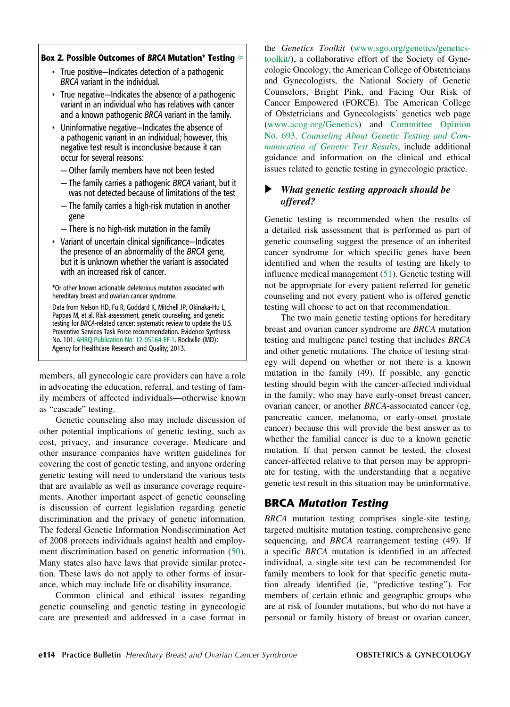#### <span id="page-4-0"></span>**Box 2. Possible Outcomes of** *BRCA* **Mutation\* Testing**

- True positive—Indicates detection of a pathogenic *BRCA* variant in the individual.
- True negative—Indicates the absence of a pathogenic variant in an individual who has relatives with cancer and a known pathogenic *BRCA* variant in the family.
- Uninformative negative—Indicates the absence of a pathogenic variant in an individual; however, this negative test result is inconclusive because it can occur for several reasons:
	- Other family members have not been tested
	- The family carries a pathogenic *BRCA* variant, but it was not detected because of limitations of the test
	- The family carries a high-risk mutation in another gene
	- There is no high-risk mutation in the family
- Variant of uncertain clinical significance—Indicates the presence of an abnormality of the *BRCA* gene, but it is unknown whether the variant is associated with an increased risk of cancer.

\*Or other known actionable deleterious mutation associated with hereditary breast and ovarian cancer syndrome.

Data from Nelson HD, Fu R, Goddard K, Mitchell JP, Okinaka-Hu L, Pappas M, et al. Risk assessment, genetic counseling, and genetic testing for *BRCA*-related cancer: systematic review to update the U.S. Preventive Services Task Force recommendation. Evidence Synthesis No. 101. [AHRQ Publication No. 12-05164-EF-1](https://www.ncbi.nlm.nih.gov/pubmed/24432435). Rockville (MD): Agency for Healthcare Research and Quality; 2013.

members, all gynecologic care providers can have a role in advocating the education, referral, and testing of family members of affected individuals—otherwise known as "cascade" testing.

Genetic counseling also may include discussion of other potential implications of genetic testing, such as cost, privacy, and insurance coverage. Medicare and other insurance companies have written guidelines for covering the cost of genetic testing, and anyone ordering genetic testing will need to understand the various tests that are available as well as insurance coverage requirements. Another important aspect of genetic counseling is discussion of current legislation regarding genetic discrimination and the privacy of genetic information. The federal Genetic Information Nondiscrimination Act of 2008 protects individuals against health and employment discrimination based on genetic information [\(50](#page-13-5)). Many states also have laws that provide similar protection. These laws do not apply to other forms of insurance, which may include life or disability insurance.

<span id="page-4-1"></span>Common clinical and ethical issues regarding genetic counseling and genetic testing in gynecologic care are presented and addressed in a case format in

the *Genetics Toolkit* [\(www.sgo.org/genetics/genetics](https://www.sgo.org/genetics/genetics-toolkit/)[toolkit/](https://www.sgo.org/genetics/genetics-toolkit/)), a collaborative effort of the Society of Gynecologic Oncology, the American College of Obstetricians and Gynecologists, the National Society of Genetic Counselors, Bright Pink, and Facing Our Risk of Cancer Empowered (FORCE). The American College of Obstetricians and Gynecologists' genetics web page ([www.acog.org/Genetics](https://www.acog.org/Genetics)) and [Committee Opinion](http://www.acog.org/Resources-And-Publications/Committee-Opinions/Committee-on-Genetics/Counseling-About-Genetic-Testing-and-Communication-of-Genetic-Test-Results)  No. 693, *[Counseling About Genetic Testing and Com](http://www.acog.org/Resources-And-Publications/Committee-Opinions/Committee-on-Genetics/Counseling-About-Genetic-Testing-and-Communication-of-Genetic-Test-Results)[munication of Genetic Test Results](http://www.acog.org/Resources-And-Publications/Committee-Opinions/Committee-on-Genetics/Counseling-About-Genetic-Testing-and-Communication-of-Genetic-Test-Results)*, include additional guidance and information on the clinical and ethical issues related to genetic testing in gynecologic practice.

#### *What genetic testing approach should be offered?*

Genetic testing is recommended when the results of a detailed risk assessment that is performed as part of genetic counseling suggest the presence of an inherited cancer syndrome for which specific genes have been identified and when the results of testing are likely to influence medical management ([51\)](#page-13-4). Genetic testing will not be appropriate for every patient referred for genetic counseling and not every patient who is offered genetic testing will choose to act on that recommendation.

<span id="page-4-2"></span>The two main genetic testing options for hereditary breast and ovarian cancer syndrome are *BRCA* mutation testing and multigene panel testing that includes *BRCA* and other genetic mutations. The choice of testing strategy will depend on whether or not there is a known mutation in the family (49). If possible, any genetic testing should begin with the cancer-affected individual in the family, who may have early-onset breast cancer, ovarian cancer, or another *BRCA*-associated cancer (eg, pancreatic cancer, melanoma, or early-onset prostate cancer) because this will provide the best answer as to whether the familial cancer is due to a known genetic mutation. If that person cannot be tested, the closest cancer-affected relative to that person may be appropriate for testing, with the understanding that a negative genetic test result in this situation may be uninformative.

#### **BRCA** *Mutation Testing*

*BRCA* mutation testing comprises single-site testing, targeted multisite mutation testing, comprehensive gene sequencing, and *BRCA* rearrangement testing (49). If a specific *BRCA* mutation is identified in an affected individual, a single-site test can be recommended for family members to look for that specific genetic mutation already identified (ie, "predictive testing"). For members of certain ethnic and geographic groups who are at risk of founder mutations, but who do not have a personal or family history of breast or ovarian cancer,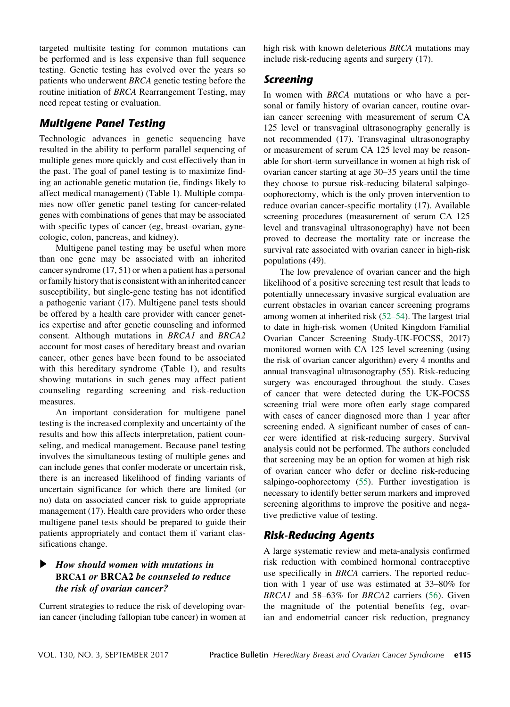targeted multisite testing for common mutations can be performed and is less expensive than full sequence testing. Genetic testing has evolved over the years so patients who underwent *BRCA* genetic testing before the routine initiation of *BRCA* Rearrangement Testing, may need repeat testing or evaluation.

#### *Multigene Panel Testing*

Technologic advances in genetic sequencing have resulted in the ability to perform parallel sequencing of multiple genes more quickly and cost effectively than in the past. The goal of panel testing is to maximize finding an actionable genetic mutation (ie, findings likely to affect medical management) (Table 1). Multiple companies now offer genetic panel testing for cancer-related genes with combinations of genes that may be associated with specific types of cancer (eg, breast–ovarian, gynecologic, colon, pancreas, and kidney).

Multigene panel testing may be useful when more than one gene may be associated with an inherited cancer syndrome (17, 51) or when a patient has a personal or family history that is consistent with an inherited cancer susceptibility, but single-gene testing has not identified a pathogenic variant (17). Multigene panel tests should be offered by a health care provider with cancer genetics expertise and after genetic counseling and informed consent. Although mutations in *BRCA1* and *BRCA2* account for most cases of hereditary breast and ovarian cancer, other genes have been found to be associated with this hereditary syndrome (Table 1), and results showing mutations in such genes may affect patient counseling regarding screening and risk-reduction measures.

An important consideration for multigene panel testing is the increased complexity and uncertainty of the results and how this affects interpretation, patient counseling, and medical management. Because panel testing involves the simultaneous testing of multiple genes and can include genes that confer moderate or uncertain risk, there is an increased likelihood of finding variants of uncertain significance for which there are limited (or no) data on associated cancer risk to guide appropriate management (17). Health care providers who order these multigene panel tests should be prepared to guide their patients appropriately and contact them if variant classifications change.

#### *How should women with mutations in*  **BRCA1** *or* **BRCA2** *be counseled to reduce the risk of ovarian cancer?*

Current strategies to reduce the risk of developing ovarian cancer (including fallopian tube cancer) in women at high risk with known deleterious *BRCA* mutations may include risk-reducing agents and surgery (17).

#### *Screening*

In women with *BRCA* mutations or who have a personal or family history of ovarian cancer, routine ovarian cancer screening with measurement of serum CA 125 level or transvaginal ultrasonography generally is not recommended (17). Transvaginal ultrasonography or measurement of serum CA 125 level may be reasonable for short-term surveillance in women at high risk of ovarian cancer starting at age 30–35 years until the time they choose to pursue risk-reducing bilateral salpingooophorectomy, which is the only proven intervention to reduce ovarian cancer-specific mortality (17). Available screening procedures (measurement of serum CA 125 level and transvaginal ultrasonography) have not been proved to decrease the mortality rate or increase the survival rate associated with ovarian cancer in high-risk populations (49).

<span id="page-5-2"></span>The low prevalence of ovarian cancer and the high likelihood of a positive screening test result that leads to potentially unnecessary invasive surgical evaluation are current obstacles in ovarian cancer screening programs among women at inherited risk [\(52–54](#page-13-6)). The largest trial to date in high-risk women (United Kingdom Familial Ovarian Cancer Screening Study-UK-FOCSS, 2017) monitored women with CA 125 level screening (using the risk of ovarian cancer algorithm) every 4 months and annual transvaginal ultrasonography (55). Risk-reducing surgery was encouraged throughout the study. Cases of cancer that were detected during the UK-FOCSS screening trial were more often early stage compared with cases of cancer diagnosed more than 1 year after screening ended. A significant number of cases of cancer were identified at risk-reducing surgery. Survival analysis could not be performed. The authors concluded that screening may be an option for women at high risk of ovarian cancer who defer or decline risk-reducing salpingo-oophorectomy ([55\)](#page-13-7). Further investigation is necessary to identify better serum markers and improved screening algorithms to improve the positive and negative predictive value of testing.

#### <span id="page-5-0"></span>*Risk-Reducing Agents*

<span id="page-5-1"></span>A large systematic review and meta-analysis confirmed risk reduction with combined hormonal contraceptive use specifically in *BRCA* carriers. The reported reduction with 1 year of use was estimated at 33–80% for *BRCA1* and 58–63% for *BRCA2* carriers [\(56](#page-13-8)). Given the magnitude of the potential benefits (eg, ovarian and endometrial cancer risk reduction, pregnancy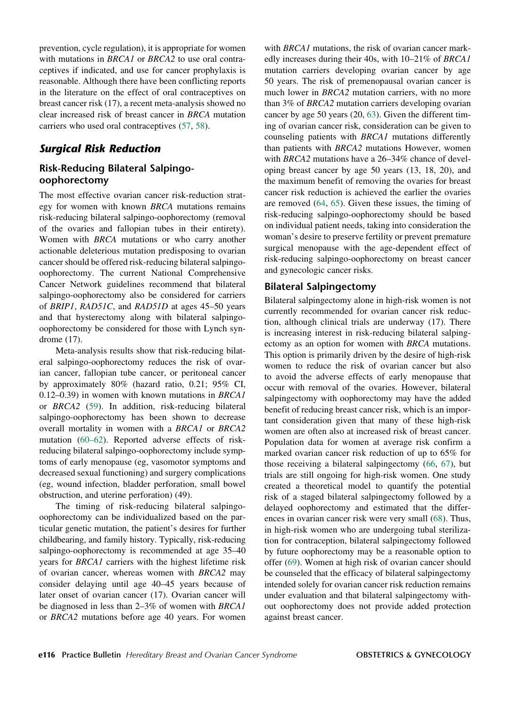prevention, cycle regulation), it is appropriate for women with mutations in *BRCA1* or *BRCA2* to use oral contraceptives if indicated, and use for cancer prophylaxis is reasonable. Although there have been conflicting reports in the literature on the effect of oral contraceptives on breast cancer risk (17), a recent meta-analysis showed no clear increased risk of breast cancer in *BRCA* mutation carriers who used oral contraceptives ([57,](#page-13-14) [58](#page-13-15)).

#### <span id="page-6-0"></span>*Surgical Risk Reduction*

#### **Risk-Reducing Bilateral Salpingooophorectomy**

The most effective ovarian cancer risk-reduction strategy for women with known *BRCA* mutations remains risk-reducing bilateral salpingo-oophorectomy (removal of the ovaries and fallopian tubes in their entirety). Women with *BRCA* mutations or who carry another actionable deleterious mutation predisposing to ovarian cancer should be offered risk-reducing bilateral salpingooophorectomy. The current National Comprehensive Cancer Network guidelines recommend that bilateral salpingo-oophorectomy also be considered for carriers of *BRIP1*, *RAD51C*, and *RAD51D* at ages 45–50 years and that hysterectomy along with bilateral salpingooophorectomy be considered for those with Lynch syndrome (17).

<span id="page-6-2"></span>Meta-analysis results show that risk-reducing bilateral salpingo-oophorectomy reduces the risk of ovarian cancer, fallopian tube cancer, or peritoneal cancer by approximately 80% (hazard ratio, 0.21; 95% CI, 0.12–0.39) in women with known mutations in *BRCA1* or *BRCA2* [\(59](#page-13-16)). In addition, risk-reducing bilateral salpingo-oophorectomy has been shown to decrease overall mortality in women with a *BRCA1* or *BRCA2* mutation ([60–62\)](#page-13-17). Reported adverse effects of riskreducing bilateral salpingo-oophorectomy include symptoms of early menopause (eg, vasomotor symptoms and decreased sexual functioning) and surgery complications (eg, wound infection, bladder perforation, small bowel obstruction, and uterine perforation) (49).

<span id="page-6-10"></span><span id="page-6-3"></span>The timing of risk-reducing bilateral salpingooophorectomy can be individualized based on the particular genetic mutation, the patient's desires for further childbearing, and family history. Typically, risk-reducing salpingo-oophorectomy is recommended at age 35–40 years for *BRCA1* carriers with the highest lifetime risk of ovarian cancer, whereas women with *BRCA2* may consider delaying until age 40–45 years because of later onset of ovarian cancer (17). Ovarian cancer will be diagnosed in less than 2–3% of women with *BRCA1* or *BRCA2* mutations before age 40 years. For women

<span id="page-6-4"></span><span id="page-6-1"></span>with *BRCA1* mutations, the risk of ovarian cancer markedly increases during their 40s, with 10–21% of *BRCA1* mutation carriers developing ovarian cancer by age 50 years. The risk of premenopausal ovarian cancer is much lower in *BRCA2* mutation carriers, with no more than 3% of *BRCA2* mutation carriers developing ovarian cancer by age 50 years (20, [63\)](#page-13-9). Given the different timing of ovarian cancer risk, consideration can be given to counseling patients with *BRCA1* mutations differently than patients with *BRCA2* mutations However, women with *BRCA2* mutations have a 26–34% chance of developing breast cancer by age 50 years (13, 18, 20), and the maximum benefit of removing the ovaries for breast cancer risk reduction is achieved the earlier the ovaries are removed [\(64](#page-13-10), [65](#page-13-11)). Given these issues, the timing of risk-reducing salpingo-oophorectomy should be based on individual patient needs, taking into consideration the woman's desire to preserve fertility or prevent premature surgical menopause with the age-dependent effect of risk-reducing salpingo-oophorectomy on breast cancer and gynecologic cancer risks.

#### <span id="page-6-6"></span><span id="page-6-5"></span>**Bilateral Salpingectomy**

<span id="page-6-9"></span><span id="page-6-8"></span><span id="page-6-7"></span>Bilateral salpingectomy alone in high-risk women is not currently recommended for ovarian cancer risk reduction, although clinical trials are underway (17). There is increasing interest in risk-reducing bilateral salpingectomy as an option for women with *BRCA* mutations. This option is primarily driven by the desire of high-risk women to reduce the risk of ovarian cancer but also to avoid the adverse effects of early menopause that occur with removal of the ovaries. However, bilateral salpingectomy with oophorectomy may have the added benefit of reducing breast cancer risk, which is an important consideration given that many of these high-risk women are often also at increased risk of breast cancer. Population data for women at average risk confirm a marked ovarian cancer risk reduction of up to 65% for those receiving a bilateral salpingectomy [\(66](#page-13-12), [67\)](#page-13-13), but trials are still ongoing for high-risk women. One study created a theoretical model to quantify the potential risk of a staged bilateral salpingectomy followed by a delayed oophorectomy and estimated that the differences in ovarian cancer risk were very small [\(68](#page-14-0)). Thus, in high-risk women who are undergoing tubal sterilization for contraception, bilateral salpingectomy followed by future oophorectomy may be a reasonable option to offer ([69](#page-14-1)). Women at high risk of ovarian cancer should be counseled that the efficacy of bilateral salpingectomy intended solely for ovarian cancer risk reduction remains under evaluation and that bilateral salpingectomy without oophorectomy does not provide added protection against breast cancer.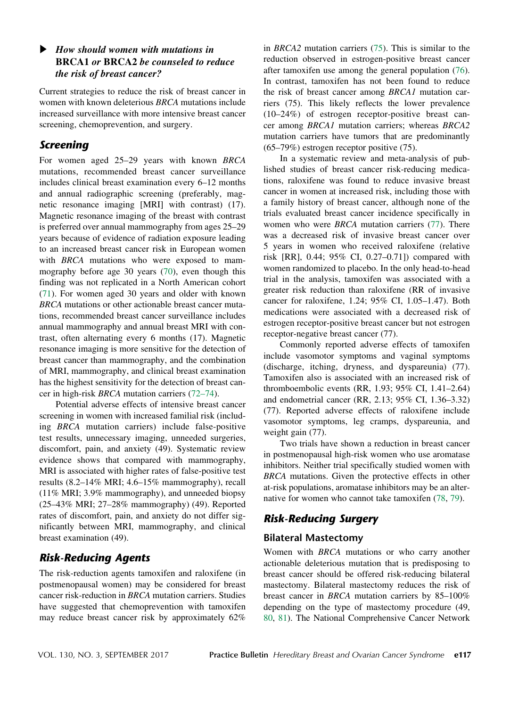#### *How should women with mutations in*  **BRCA1** *or* **BRCA2** *be counseled to reduce the risk of breast cancer?*

Current strategies to reduce the risk of breast cancer in women with known deleterious *BRCA* mutations include increased surveillance with more intensive breast cancer screening, chemoprevention, and surgery.

#### *Screening*

<span id="page-7-3"></span>For women aged 25–29 years with known *BRCA* mutations, recommended breast cancer surveillance includes clinical breast examination every 6–12 months and annual radiographic screening (preferably, magnetic resonance imaging [MRI] with contrast) (17). Magnetic resonance imaging of the breast with contrast is preferred over annual mammography from ages 25–29 years because of evidence of radiation exposure leading to an increased breast cancer risk in European women with *BRCA* mutations who were exposed to mammography before age 30 years [\(70](#page-14-9)), even though this finding was not replicated in a North American cohort [\(71](#page-14-10)). For women aged 30 years and older with known *BRCA* mutations or other actionable breast cancer mutations, recommended breast cancer surveillance includes annual mammography and annual breast MRI with contrast, often alternating every 6 months (17). Magnetic resonance imaging is more sensitive for the detection of breast cancer than mammography, and the combination of MRI, mammography, and clinical breast examination has the highest sensitivity for the detection of breast cancer in high-risk *BRCA* mutation carriers [\(72–74](#page-14-11)).

<span id="page-7-4"></span>Potential adverse effects of intensive breast cancer screening in women with increased familial risk (including *BRCA* mutation carriers) include false-positive test results, unnecessary imaging, unneeded surgeries, discomfort, pain, and anxiety (49). Systematic review evidence shows that compared with mammography, MRI is associated with higher rates of false-positive test results (8.2–14% MRI; 4.6–15% mammography), recall (11% MRI; 3.9% mammography), and unneeded biopsy (25–43% MRI; 27–28% mammography) (49). Reported rates of discomfort, pain, and anxiety do not differ significantly between MRI, mammography, and clinical breast examination (49).

#### *Risk-Reducing Agents*

The risk-reduction agents tamoxifen and raloxifene (in postmenopausal women) may be considered for breast cancer risk-reduction in *BRCA* mutation carriers. Studies have suggested that chemoprevention with tamoxifen may reduce breast cancer risk by approximately 62% <span id="page-7-6"></span>in *BRCA2* mutation carriers [\(75](#page-14-2)). This is similar to the reduction observed in estrogen-positive breast cancer after tamoxifen use among the general population ([76\)](#page-14-3). In contrast, tamoxifen has not been found to reduce the risk of breast cancer among *BRCA1* mutation carriers (75). This likely reflects the lower prevalence (10–24%) of estrogen receptor-positive breast cancer among *BRCA1* mutation carriers; whereas *BRCA2* mutation carriers have tumors that are predominantly (65–79%) estrogen receptor positive (75).

<span id="page-7-7"></span>In a systematic review and meta-analysis of published studies of breast cancer risk-reducing medications, raloxifene was found to reduce invasive breast cancer in women at increased risk, including those with a family history of breast cancer, although none of the trials evaluated breast cancer incidence specifically in women who were *BRCA* mutation carriers ([77\)](#page-14-4). There was a decreased risk of invasive breast cancer over 5 years in women who received raloxifene (relative risk [RR], 0.44; 95% CI, 0.27–0.71]) compared with women randomized to placebo. In the only head-to-head trial in the analysis, tamoxifen was associated with a greater risk reduction than raloxifene (RR of invasive cancer for raloxifene, 1.24; 95% CI, 1.05–1.47). Both medications were associated with a decreased risk of estrogen receptor-positive breast cancer but not estrogen receptor-negative breast cancer (77).

<span id="page-7-5"></span>Commonly reported adverse effects of tamoxifen include vasomotor symptoms and vaginal symptoms (discharge, itching, dryness, and dyspareunia) (77). Tamoxifen also is associated with an increased risk of thromboembolic events (RR, 1.93; 95% CI, 1.41–2.64) and endometrial cancer (RR, 2.13; 95% CI, 1.36–3.32) (77). Reported adverse effects of raloxifene include vasomotor symptoms, leg cramps, dyspareunia, and weight gain  $(77)$ .

Two trials have shown a reduction in breast cancer in postmenopausal high-risk women who use aromatase inhibitors. Neither trial specifically studied women with *BRCA* mutations. Given the protective effects in other at-risk populations, aromatase inhibitors may be an alternative for women who cannot take tamoxifen ([78,](#page-14-5) [79\)](#page-14-6).

#### <span id="page-7-8"></span><span id="page-7-0"></span>*Risk-Reducing Surgery*

#### **Bilateral Mastectomy**

<span id="page-7-2"></span><span id="page-7-1"></span>Women with *BRCA* mutations or who carry another actionable deleterious mutation that is predisposing to breast cancer should be offered risk-reducing bilateral mastectomy. Bilateral mastectomy reduces the risk of breast cancer in *BRCA* mutation carriers by 85–100% depending on the type of mastectomy procedure (49, [80](#page-14-7), [81\)](#page-14-8). The National Comprehensive Cancer Network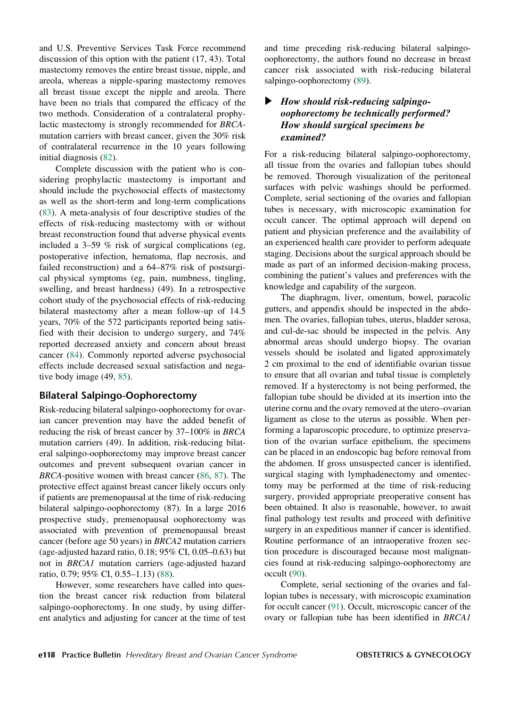and U.S. Preventive Services Task Force recommend discussion of this option with the patient (17, 43). Total mastectomy removes the entire breast tissue, nipple, and areola, whereas a nipple-sparing mastectomy removes all breast tissue except the nipple and areola. There have been no trials that compared the efficacy of the two methods. Consideration of a contralateral prophylactic mastectomy is strongly recommended for *BRCA*mutation carriers with breast cancer, given the 30% risk of contralateral recurrence in the 10 years following initial diagnosis ([82\)](#page-14-14).

<span id="page-8-1"></span><span id="page-8-0"></span>Complete discussion with the patient who is considering prophylactic mastectomy is important and should include the psychosocial effects of mastectomy as well as the short-term and long-term complications [\(83](#page-14-15)). A meta-analysis of four descriptive studies of the effects of risk-reducing mastectomy with or without breast reconstruction found that adverse physical events included a 3–59 % risk of surgical complications (eg, postoperative infection, hematoma, flap necrosis, and failed reconstruction) and a 64–87% risk of postsurgical physical symptoms (eg, pain, numbness, tingling, swelling, and breast hardness) (49). In a retrospective cohort study of the psychosocial effects of risk-reducing bilateral mastectomy after a mean follow-up of 14.5 years, 70% of the 572 participants reported being satisfied with their decision to undergo surgery, and 74% reported decreased anxiety and concern about breast cancer [\(84](#page-14-16)). Commonly reported adverse psychosocial effects include decreased sexual satisfaction and negative body image (49, [85](#page-14-17)).

#### <span id="page-8-3"></span><span id="page-8-2"></span>**Bilateral Salpingo-Oophorectomy**

<span id="page-8-4"></span>Risk-reducing bilateral salpingo-oophorectomy for ovarian cancer prevention may have the added benefit of reducing the risk of breast cancer by 37–100% in *BRCA* mutation carriers (49). In addition, risk-reducing bilateral salpingo-oophorectomy may improve breast cancer outcomes and prevent subsequent ovarian cancer in *BRCA*-positive women with breast cancer ([86,](#page-14-18) [87\)](#page-14-19). The protective effect against breast cancer likely occurs only if patients are premenopausal at the time of risk-reducing bilateral salpingo-oophorectomy (87). In a large 2016 prospective study, premenopausal oophorectomy was associated with prevention of premenopausal breast cancer (before age 50 years) in *BRCA2* mutation carriers (age-adjusted hazard ratio, 0.18; 95% CI, 0.05–0.63) but not in *BRCA1* mutation carriers (age-adjusted hazard ratio, 0.79; 95% CI, 0.55–1.13) [\(88](#page-14-20)).

<span id="page-8-6"></span>However, some researchers have called into question the breast cancer risk reduction from bilateral salpingo-oophorectomy. In one study, by using different analytics and adjusting for cancer at the time of test

and time preceding risk-reducing bilateral salpingooophorectomy, the authors found no decrease in breast cancer risk associated with risk-reducing bilateral salpingo-oophorectomy ([89\)](#page-14-12).

#### <span id="page-8-7"></span>▶ *How should risk-reducing salpingooophorectomy be technically performed? How should surgical specimens be examined?*

For a risk-reducing bilateral salpingo-oophorectomy, all tissue from the ovaries and fallopian tubes should be removed. Thorough visualization of the peritoneal surfaces with pelvic washings should be performed. Complete, serial sectioning of the ovaries and fallopian tubes is necessary, with microscopic examination for occult cancer. The optimal approach will depend on patient and physician preference and the availability of an experienced health care provider to perform adequate staging. Decisions about the surgical approach should be made as part of an informed decision-making process, combining the patient's values and preferences with the knowledge and capability of the surgeon.

The diaphragm, liver, omentum, bowel, paracolic gutters, and appendix should be inspected in the abdomen. The ovaries, fallopian tubes, uterus, bladder serosa, and cul-de-sac should be inspected in the pelvis. Any abnormal areas should undergo biopsy. The ovarian vessels should be isolated and ligated approximately 2 cm proximal to the end of identifiable ovarian tissue to ensure that all ovarian and tubal tissue is completely removed. If a hysterectomy is not being performed, the fallopian tube should be divided at its insertion into the uterine cornu and the ovary removed at the utero–ovarian ligament as close to the uterus as possible. When performing a laparoscopic procedure, to optimize preservation of the ovarian surface epithelium, the specimens can be placed in an endoscopic bag before removal from the abdomen. If gross unsuspected cancer is identified, surgical staging with lymphadenectomy and omentectomy may be performed at the time of risk-reducing surgery, provided appropriate preoperative consent has been obtained. It also is reasonable, however, to await final pathology test results and proceed with definitive surgery in an expeditious manner if cancer is identified. Routine performance of an intraoperative frozen section procedure is discouraged because most malignancies found at risk-reducing salpingo-oophorectomy are occult [\(90](#page-14-13)).

<span id="page-8-9"></span><span id="page-8-8"></span><span id="page-8-5"></span>Complete, serial sectioning of the ovaries and fallopian tubes is necessary, with microscopic examination for occult cancer ([91\)](#page-15-0). Occult, microscopic cancer of the ovary or fallopian tube has been identified in *BRCA1*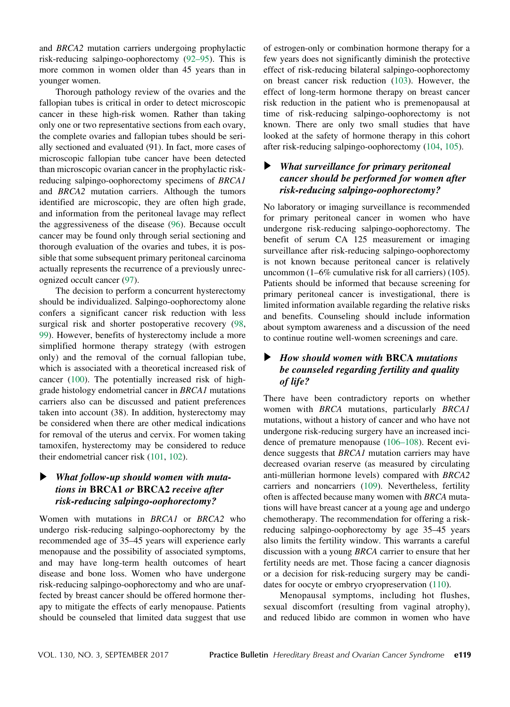<span id="page-9-4"></span>and *BRCA2* mutation carriers undergoing prophylactic risk-reducing salpingo-oophorectomy [\(92–95](#page-15-7)). This is more common in women older than 45 years than in younger women.

Thorough pathology review of the ovaries and the fallopian tubes is critical in order to detect microscopic cancer in these high-risk women. Rather than taking only one or two representative sections from each ovary, the complete ovaries and fallopian tubes should be serially sectioned and evaluated (91). In fact, more cases of microscopic fallopian tube cancer have been detected than microscopic ovarian cancer in the prophylactic riskreducing salpingo-oophorectomy specimens of *BRCA1* and *BRCA2* mutation carriers. Although the tumors identified are microscopic, they are often high grade, and information from the peritoneal lavage may reflect the aggressiveness of the disease [\(96](#page-15-8)). Because occult cancer may be found only through serial sectioning and thorough evaluation of the ovaries and tubes, it is possible that some subsequent primary peritoneal carcinoma actually represents the recurrence of a previously unrecognized occult cancer ([97\)](#page-15-9).

<span id="page-9-9"></span><span id="page-9-8"></span><span id="page-9-7"></span><span id="page-9-6"></span><span id="page-9-5"></span>The decision to perform a concurrent hysterectomy should be individualized. Salpingo-oophorectomy alone confers a significant cancer risk reduction with less surgical risk and shorter postoperative recovery [\(98](#page-15-10), [99](#page-15-11)). However, benefits of hysterectomy include a more simplified hormone therapy strategy (with estrogen only) and the removal of the cornual fallopian tube, which is associated with a theoretical increased risk of cancer [\(100](#page-15-12)). The potentially increased risk of highgrade histology endometrial cancer in *BRCA1* mutations carriers also can be discussed and patient preferences taken into account (38). In addition, hysterectomy may be considered when there are other medical indications for removal of the uterus and cervix. For women taking tamoxifen, hysterectomy may be considered to reduce their endometrial cancer risk ([101,](#page-15-13) [102\)](#page-15-14).

#### <span id="page-9-10"></span>*What follow-up should women with mutations in* **BRCA1** *or* **BRCA2** *receive after risk-reducing salpingo-oophorectomy?*

Women with mutations in *BRCA1* or *BRCA2* who undergo risk-reducing salpingo-oophorectomy by the recommended age of 35–45 years will experience early menopause and the possibility of associated symptoms, and may have long-term health outcomes of heart disease and bone loss. Women who have undergone risk-reducing salpingo-oophorectomy and who are unaffected by breast cancer should be offered hormone therapy to mitigate the effects of early menopause. Patients should be counseled that limited data suggest that use <span id="page-9-12"></span>of estrogen-only or combination hormone therapy for a few years does not significantly diminish the protective effect of risk-reducing bilateral salpingo-oophorectomy on breast cancer risk reduction ([103\)](#page-15-1). However, the effect of long-term hormone therapy on breast cancer risk reduction in the patient who is premenopausal at time of risk-reducing salpingo-oophorectomy is not known. There are only two small studies that have looked at the safety of hormone therapy in this cohort after risk-reducing salpingo-oophorectomy ([104,](#page-15-2) [105\)](#page-15-3).

#### <span id="page-9-0"></span>*What surveillance for primary peritoneal cancer should be performed for women after risk-reducing salpingo-oophorectomy?*

No laboratory or imaging surveillance is recommended for primary peritoneal cancer in women who have undergone risk-reducing salpingo-oophorectomy. The benefit of serum CA 125 measurement or imaging surveillance after risk-reducing salpingo-oophorectomy is not known because peritoneal cancer is relatively uncommon (1–6% cumulative risk for all carriers) (105). Patients should be informed that because screening for primary peritoneal cancer is investigational, there is limited information available regarding the relative risks and benefits. Counseling should include information about symptom awareness and a discussion of the need to continue routine well-women screenings and care.

#### ▶ *How should women with* **BRCA** *mutations be counseled regarding fertility and quality of life?*

<span id="page-9-11"></span><span id="page-9-2"></span><span id="page-9-1"></span>There have been contradictory reports on whether women with *BRCA* mutations, particularly *BRCA1* mutations, without a history of cancer and who have not undergone risk-reducing surgery have an increased incidence of premature menopause [\(106–108](#page-15-4)). Recent evidence suggests that *BRCA1* mutation carriers may have decreased ovarian reserve (as measured by circulating anti-müllerian hormone levels) compared with *BRCA2* carriers and noncarriers [\(109](#page-15-5)). Nevertheless, fertility often is affected because many women with *BRCA* mutations will have breast cancer at a young age and undergo chemotherapy. The recommendation for offering a riskreducing salpingo-oophorectomy by age 35–45 years also limits the fertility window. This warrants a careful discussion with a young *BRCA* carrier to ensure that her fertility needs are met. Those facing a cancer diagnosis or a decision for risk-reducing surgery may be candidates for oocyte or embryo cryopreservation [\(110](#page-15-6)).

<span id="page-9-3"></span>Menopausal symptoms, including hot flushes, sexual discomfort (resulting from vaginal atrophy), and reduced libido are common in women who have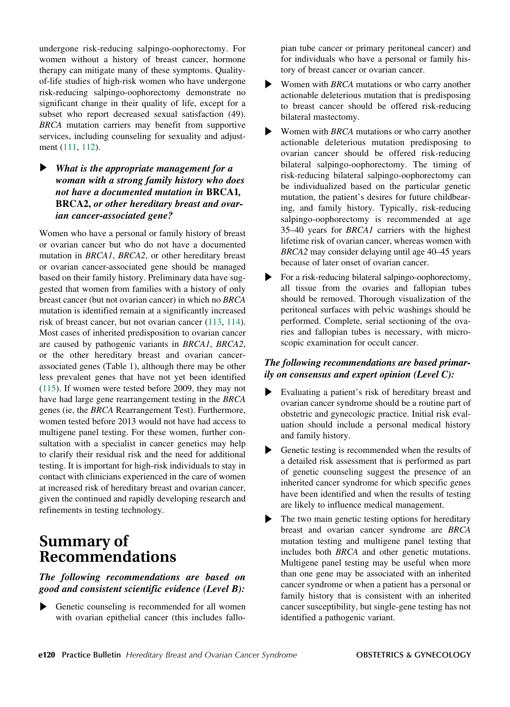undergone risk-reducing salpingo-oophorectomy. For women without a history of breast cancer, hormone therapy can mitigate many of these symptoms. Qualityof-life studies of high-risk women who have undergone risk-reducing salpingo-oophorectomy demonstrate no significant change in their quality of life, except for a subset who report decreased sexual satisfaction (49). *BRCA* mutation carriers may benefit from supportive services, including counseling for sexuality and adjustment [\(111](#page-15-15), [112](#page-15-16)).

#### <span id="page-10-1"></span><span id="page-10-0"></span>*What is the appropriate management for a woman with a strong family history who does not have a documented mutation in* **BRCA1***,*  **BRCA2,** *or other hereditary breast and ovarian cancer-associated gene?*

<span id="page-10-2"></span>Women who have a personal or family history of breast or ovarian cancer but who do not have a documented mutation in *BRCA1*, *BRCA2*, or other hereditary breast or ovarian cancer-associated gene should be managed based on their family history. Preliminary data have suggested that women from families with a history of only breast cancer (but not ovarian cancer) in which no *BRCA* mutation is identified remain at a significantly increased risk of breast cancer, but not ovarian cancer ([113,](#page-15-17) [114](#page-15-18)). Most cases of inherited predisposition to ovarian cancer are caused by pathogenic variants in *BRCA1*, *BRCA2*, or the other hereditary breast and ovarian cancerassociated genes (Table 1), although there may be other less prevalent genes that have not yet been identified [\(115](#page-16-0)). If women were tested before 2009, they may not have had large gene rearrangement testing in the *BRCA* genes (ie, the *BRCA* Rearrangement Test). Furthermore, women tested before 2013 would not have had access to multigene panel testing. For these women, further consultation with a specialist in cancer genetics may help to clarify their residual risk and the need for additional testing. It is important for high-risk individuals to stay in contact with clinicians experienced in the care of women at increased risk of hereditary breast and ovarian cancer, given the continued and rapidly developing research and refinements in testing technology.

## <span id="page-10-4"></span>**Summary of Recommendations**

#### *The following recommendations are based on good and consistent scientific evidence (Level B):*

Genetic counseling is recommended for all women with ovarian epithelial cancer (this includes fallopian tube cancer or primary peritoneal cancer) and for individuals who have a personal or family history of breast cancer or ovarian cancer.

- Women with *BRCA* mutations or who carry another actionable deleterious mutation that is predisposing to breast cancer should be offered risk-reducing bilateral mastectomy.
- Women with *BRCA* mutations or who carry another actionable deleterious mutation predisposing to ovarian cancer should be offered risk-reducing bilateral salpingo-oophorectomy. The timing of risk-reducing bilateral salpingo-oophorectomy can be individualized based on the particular genetic mutation, the patient's desires for future childbearing, and family history. Typically, risk-reducing salpingo-oophorectomy is recommended at age 35–40 years for *BRCA1* carriers with the highest lifetime risk of ovarian cancer, whereas women with *BRCA2* may consider delaying until age 40–45 years because of later onset of ovarian cancer.
- <span id="page-10-3"></span>For a risk-reducing bilateral salpingo-oophorectomy, all tissue from the ovaries and fallopian tubes should be removed. Thorough visualization of the peritoneal surfaces with pelvic washings should be performed. Complete, serial sectioning of the ovaries and fallopian tubes is necessary, with microscopic examination for occult cancer.

#### *The following recommendations are based primarily on consensus and expert opinion (Level C):*

- ▶ Evaluating a patient's risk of hereditary breast and ovarian cancer syndrome should be a routine part of obstetric and gynecologic practice. Initial risk evaluation should include a personal medical history and family history.
- Genetic testing is recommended when the results of a detailed risk assessment that is performed as part of genetic counseling suggest the presence of an inherited cancer syndrome for which specific genes have been identified and when the results of testing are likely to influence medical management.
- The two main genetic testing options for hereditary breast and ovarian cancer syndrome are *BRCA* mutation testing and multigene panel testing that includes both *BRCA* and other genetic mutations. Multigene panel testing may be useful when more than one gene may be associated with an inherited cancer syndrome or when a patient has a personal or family history that is consistent with an inherited cancer susceptibility, but single-gene testing has not identified a pathogenic variant.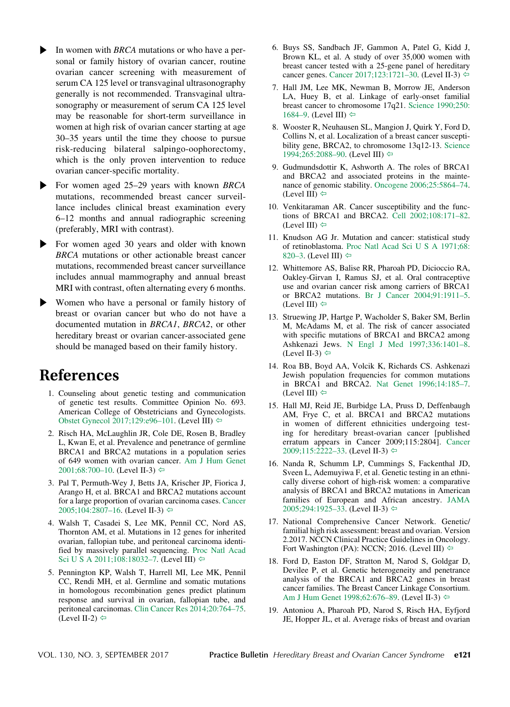- In women with *BRCA* mutations or who have a personal or family history of ovarian cancer, routine ovarian cancer screening with measurement of serum CA 125 level or transvaginal ultrasonography generally is not recommended. Transvaginal ultrasonography or measurement of serum CA 125 level may be reasonable for short-term surveillance in women at high risk of ovarian cancer starting at age 30–35 years until the time they choose to pursue risk-reducing bilateral salpingo-oophorectomy, which is the only proven intervention to reduce ovarian cancer-specific mortality.
- For women aged 25–29 years with known *BRCA* mutations, recommended breast cancer surveillance includes clinical breast examination every 6–12 months and annual radiographic screening (preferably, MRI with contrast).
- For women aged 30 years and older with known *BRCA* mutations or other actionable breast cancer mutations, recommended breast cancer surveillance includes annual mammography and annual breast MRI with contrast, often alternating every 6 months.
- Women who have a personal or family history of breast or ovarian cancer but who do not have a documented mutation in *BRCA1*, *BRCA2*, or other hereditary breast or ovarian cancer-associated gene should be managed based on their family history.

## **References**

- <span id="page-11-0"></span>1. Counseling about genetic testing and communication of genetic test results. Committee Opinion No. 693. American College of Obstetricians and Gynecologists. [Obstet Gynecol 2017;129:e96–101](http://journals.lww.com/greenjournal/Fulltext/2017/04000/Committee_Opinion_No__693___Counseling_About.49.aspx). (Level III)
- <span id="page-11-1"></span>2. Risch HA, McLaughlin JR, Cole DE, Rosen B, Bradley L, Kwan E, et al. Prevalence and penetrance of germline BRCA1 and BRCA2 mutations in a population series of 649 women with ovarian cancer. [Am J Hum Genet](https://www.ncbi.nlm.nih.gov/pubmed/11179017) [2001;68:700–10](https://www.ncbi.nlm.nih.gov/pubmed/11179017). (Level II-3) ⇔
- 3. Pal T, Permuth-Wey J, Betts JA, Krischer JP, Fiorica J, Arango H, et al. BRCA1 and BRCA2 mutations account for a large proportion of ovarian carcinoma cases. [Cancer](https://www.ncbi.nlm.nih.gov/pubmed/16284991) [2005;104:2807–16](https://www.ncbi.nlm.nih.gov/pubmed/16284991). (Level II-3)  $\Leftrightarrow$
- 4. Walsh T, Casadei S, Lee MK, Pennil CC, Nord AS, Thornton AM, et al. Mutations in 12 genes for inherited ovarian, fallopian tube, and peritoneal carcinoma identified by massively parallel sequencing. [Proc Natl Acad](https://www.ncbi.nlm.nih.gov/pubmed/22006311) [Sci U S A 2011;108:18032–7](https://www.ncbi.nlm.nih.gov/pubmed/22006311). (Level III) ⇔
- 5. Pennington KP, Walsh T, Harrell MI, Lee MK, Pennil CC, Rendi MH, et al. Germline and somatic mutations in homologous recombination genes predict platinum response and survival in ovarian, fallopian tube, and peritoneal carcinomas. [Clin Cancer Res 2014;20:764–75.](https://www.ncbi.nlm.nih.gov/pubmed/24240112)  $(Level II-2)$
- <span id="page-11-2"></span>6. Buys SS, Sandbach JF, Gammon A, Patel G, Kidd J, Brown KL, et al. A study of over 35,000 women with breast cancer tested with a 25-gene panel of hereditary cancer genes. [Cancer 2017;123:1721–30.](https://www.ncbi.nlm.nih.gov/pubmed/28085182) (Level II-3)
- <span id="page-11-3"></span>7. Hall JM, Lee MK, Newman B, Morrow JE, Anderson LA, Huey B, et al. Linkage of early-onset familial breast cancer to chromosome 17q21. [Science 1990;250:](https://www.ncbi.nlm.nih.gov/pubmed/2270482) [1684–9](https://www.ncbi.nlm.nih.gov/pubmed/2270482). (Level III)  $\Leftrightarrow$
- <span id="page-11-4"></span>8. Wooster R, Neuhausen SL, Mangion J, Quirk Y, Ford D, Collins N, et al. Localization of a breast cancer susceptibility gene, BRCA2, to chromosome 13q12-13. [Science](https://www.ncbi.nlm.nih.gov/pubmed/8091231) [1994;265:2088–90.](https://www.ncbi.nlm.nih.gov/pubmed/8091231) (Level III) ⇔
- <span id="page-11-5"></span>9. Gudmundsdottir K, Ashworth A. The roles of BRCA1 and BRCA2 and associated proteins in the maintenance of genomic stability. [Oncogene 2006;25:5864–74](https://www.ncbi.nlm.nih.gov/pubmed/16998501). (Level III)  $\Leftrightarrow$
- <span id="page-11-6"></span>10. Venkitaraman AR. Cancer susceptibility and the functions of BRCA1 and BRCA2. [Cell 2002;108:171–82](https://www.ncbi.nlm.nih.gov/pubmed/11832208). (Level III)  $\Leftrightarrow$
- <span id="page-11-7"></span>11. Knudson AG Jr. Mutation and cancer: statistical study of retinoblastoma. [Proc Natl Acad Sci U S A 1971;68:](https://www.ncbi.nlm.nih.gov/pubmed/5279523) [820–3](https://www.ncbi.nlm.nih.gov/pubmed/5279523). (Level III) ⇔
- <span id="page-11-8"></span>12. Whittemore AS, Balise RR, Pharoah PD, Dicioccio RA, Oakley-Girvan I, Ramus SJ, et al. Oral contraceptive use and ovarian cancer risk among carriers of BRCA1 or BRCA2 mutations. [Br J Cancer 2004;91:1911–5](https://www.ncbi.nlm.nih.gov/pubmed/15545966). (Level III)  $\Leftrightarrow$
- <span id="page-11-9"></span>13. Struewing JP, Hartge P, Wacholder S, Baker SM, Berlin M, McAdams M, et al. The risk of cancer associated with specific mutations of BRCA1 and BRCA2 among Ashkenazi Jews. [N Engl J Med 1997;336:1401–8](https://www.ncbi.nlm.nih.gov/pubmed/9145676). (Level II-3)  $\Leftrightarrow$
- <span id="page-11-10"></span>14. Roa BB, Boyd AA, Volcik K, Richards CS. Ashkenazi Jewish population frequencies for common mutations in BRCA1 and BRCA2. [Nat Genet 1996;14:185–7](https://www.ncbi.nlm.nih.gov/pubmed/8841191). (Level III)  $\Leftrightarrow$
- <span id="page-11-11"></span>15. Hall MJ, Reid JE, Burbidge LA, Pruss D, Deffenbaugh AM, Frye C, et al. BRCA1 and BRCA2 mutations in women of different ethnicities undergoing testing for hereditary breast-ovarian cancer [published erratum appears in Cancer 2009;115:2804]. [Cancer](https://www.ncbi.nlm.nih.gov/pubmed/19241424) [2009;115:2222–33.](https://www.ncbi.nlm.nih.gov/pubmed/19241424) (Level II-3) ⇔
- <span id="page-11-12"></span>16. Nanda R, Schumm LP, Cummings S, Fackenthal JD, Sveen L, Ademuyiwa F, et al. Genetic testing in an ethnically diverse cohort of high-risk women: a comparative analysis of BRCA1 and BRCA2 mutations in American families of European and African ancestry. [JAMA](https://www.ncbi.nlm.nih.gov/pubmed/16234499) [2005;294:1925–33.](https://www.ncbi.nlm.nih.gov/pubmed/16234499) (Level II-3) ⇔
- <span id="page-11-13"></span>17. National Comprehensive Cancer Network. Genetic/ familial high risk assessment: breast and ovarian. Version 2.2017. NCCN Clinical Practice Guidelines in Oncology. Fort Washington (PA): NCCN; 2016. (Level III)
- <span id="page-11-14"></span>18. Ford D, Easton DF, Stratton M, Narod S, Goldgar D, Devilee P, et al. Genetic heterogeneity and penetrance analysis of the BRCA1 and BRCA2 genes in breast cancer families. The Breast Cancer Linkage Consortium. [Am J Hum Genet 1998;62:676–89](https://www.ncbi.nlm.nih.gov/pubmed/9497246). (Level II-3) ⇔
- 19. Antoniou A, Pharoah PD, Narod S, Risch HA, Eyfjord JE, Hopper JL, et al. Average risks of breast and ovarian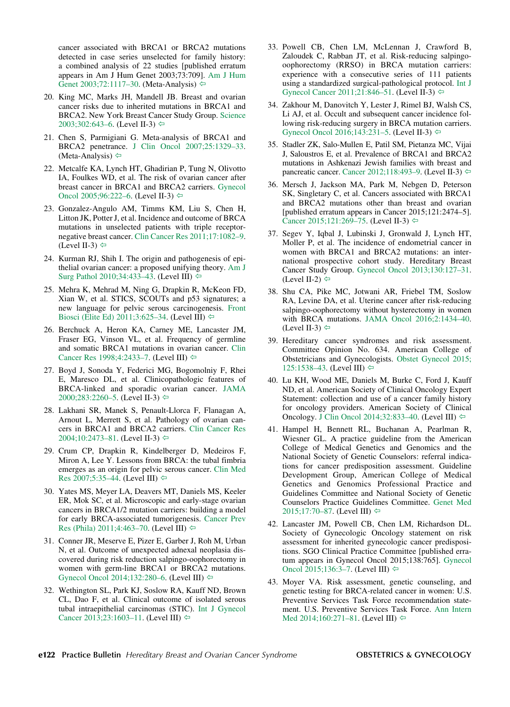cancer associated with BRCA1 or BRCA2 mutations detected in case series unselected for family history: a combined analysis of 22 studies [published erratum appears in Am J Hum Genet 2003;73:709]. [Am J Hum](https://www.ncbi.nlm.nih.gov/pubmed/12677558) [Genet 2003;72:1117–30](https://www.ncbi.nlm.nih.gov/pubmed/12677558). (Meta-Analysis)

- 20. King MC, Marks JH, Mandell JB. Breast and ovarian cancer risks due to inherited mutations in BRCA1 and BRCA2. New York Breast Cancer Study Group. [Science](https://www.ncbi.nlm.nih.gov/pubmed/14576434) [2003;302:643–6](https://www.ncbi.nlm.nih.gov/pubmed/14576434). (Level II-3) ⇔
- <span id="page-12-0"></span>21. Chen S, Parmigiani G. Meta-analysis of BRCA1 and BRCA2 penetrance. [J Clin Oncol 2007;25:1329–33.](https://www.ncbi.nlm.nih.gov/pubmed/17416853) (Meta-Analysis)  $\Leftrightarrow$
- <span id="page-12-1"></span>22. Metcalfe KA, Lynch HT, Ghadirian P, Tung N, Olivotto IA, Foulkes WD, et al. The risk of ovarian cancer after breast cancer in BRCA1 and BRCA2 carriers. [Gynecol](https://www.ncbi.nlm.nih.gov/pubmed/15589605) [Oncol 2005;96:222–6](https://www.ncbi.nlm.nih.gov/pubmed/15589605). (Level II-3)  $\Leftrightarrow$
- <span id="page-12-2"></span>23. Gonzalez-Angulo AM, Timms KM, Liu S, Chen H, Litton JK, Potter J, et al. Incidence and outcome of BRCA mutations in unselected patients with triple receptornegative breast cancer. [Clin Cancer Res 2011;17:1082–9.](https://www.ncbi.nlm.nih.gov/pubmed/21233401) (Level II-3)  $\Leftrightarrow$
- <span id="page-12-3"></span>24. Kurman RJ, Shih I. The origin and pathogenesis of epithelial ovarian cancer: a proposed unifying theory. [Am J](https://www.ncbi.nlm.nih.gov/pubmed/20154587) [Surg Pathol 2010;34:433–43](https://www.ncbi.nlm.nih.gov/pubmed/20154587). (Level III)
- <span id="page-12-4"></span>25. Mehra K, Mehrad M, Ning G, Drapkin R, McKeon FD, Xian W, et al. STICS, SCOUTs and p53 signatures; a new language for pelvic serous carcinogenesis. [Front](https://www.ncbi.nlm.nih.gov/pubmed/21196340) [Biosci \(Elite Ed\) 2011;3:625–34.](https://www.ncbi.nlm.nih.gov/pubmed/21196340) (Level III)
- <span id="page-12-10"></span>26. Berchuck A, Heron KA, Carney ME, Lancaster JM, Fraser EG, Vinson VL, et al. Frequency of germline and somatic BRCA1 mutations in ovarian cancer. [Clin](https://www.ncbi.nlm.nih.gov/pubmed/9796975) [Cancer Res 1998;4:2433–7](https://www.ncbi.nlm.nih.gov/pubmed/9796975). (Level III)
- 27. Boyd J, Sonoda Y, Federici MG, Bogomolniy F, Rhei E, Maresco DL, et al. Clinicopathologic features of BRCA-linked and sporadic ovarian cancer. [JAMA](https://www.ncbi.nlm.nih.gov/pubmed/10807385) [2000;283:2260–5.](https://www.ncbi.nlm.nih.gov/pubmed/10807385) (Level II-3)  $\Leftrightarrow$
- 28. Lakhani SR, Manek S, Penault-Llorca F, Flanagan A, Arnout L, Merrett S, et al. Pathology of ovarian cancers in BRCA1 and BRCA2 carriers. [Clin Cancer Res](https://www.ncbi.nlm.nih.gov/pubmed/15073127) [2004;10:2473–81.](https://www.ncbi.nlm.nih.gov/pubmed/15073127) (Level II-3)  $\Leftrightarrow$
- <span id="page-12-11"></span>29. Crum CP, Drapkin R, Kindelberger D, Medeiros F, Miron A, Lee Y. Lessons from BRCA: the tubal fimbria emerges as an origin for pelvic serous cancer. [Clin Med](https://www.ncbi.nlm.nih.gov/pubmed/17456833) [Res 2007;5:35–44](https://www.ncbi.nlm.nih.gov/pubmed/17456833). (Level III)
- <span id="page-12-12"></span>30. Yates MS, Meyer LA, Deavers MT, Daniels MS, Keeler ER, Mok SC, et al. Microscopic and early-stage ovarian cancers in BRCA1/2 mutation carriers: building a model for early BRCA-associated tumorigenesis. [Cancer Prev](https://www.ncbi.nlm.nih.gov/pubmed/21278312) [Res \(Phila\) 2011;4:463–70](https://www.ncbi.nlm.nih.gov/pubmed/21278312). (Level III)
- <span id="page-12-13"></span>31. Conner JR, Meserve E, Pizer E, Garber J, Roh M, Urban N, et al. Outcome of unexpected adnexal neoplasia discovered during risk reduction salpingo-oophorectomy in women with germ-line BRCA1 or BRCA2 mutations. [Gynecol Oncol 2014;132:280–6](https://www.ncbi.nlm.nih.gov/pubmed/24333842). (Level III)
- <span id="page-12-14"></span>32. Wethington SL, Park KJ, Soslow RA, Kauff ND, Brown CL, Dao F, et al. Clinical outcome of isolated serous tubal intraepithelial carcinomas (STIC). [Int J Gynecol](https://www.ncbi.nlm.nih.gov/pubmed/24172097) [Cancer 2013;23:1603–11](https://www.ncbi.nlm.nih.gov/pubmed/24172097). (Level III)
- <span id="page-12-15"></span>33. Powell CB, Chen LM, McLennan J, Crawford B, Zaloudek C, Rabban JT, et al. Risk-reducing salpingooophorectomy (RRSO) in BRCA mutation carriers: experience with a consecutive series of 111 patients using a standardized surgical-pathological protocol. [Int J](https://www.ncbi.nlm.nih.gov/pubmed/21670699) [Gynecol Cancer 2011;21:846–51](https://www.ncbi.nlm.nih.gov/pubmed/21670699). (Level II-3)
- <span id="page-12-16"></span>34. Zakhour M, Danovitch Y, Lester J, Rimel BJ, Walsh CS, Li AJ, et al. Occult and subsequent cancer incidence following risk-reducing surgery in BRCA mutation carriers. [Gynecol Oncol 2016;143:231–5](https://www.ncbi.nlm.nih.gov/pubmed/27623252). (Level II-3)  $\Leftrightarrow$
- <span id="page-12-17"></span>35. Stadler ZK, Salo-Mullen E, Patil SM, Pietanza MC, Vijai J, Saloustros E, et al. Prevalence of BRCA1 and BRCA2 mutations in Ashkenazi Jewish families with breast and pancreatic cancer. [Cancer 2012;118:493–9.](https://www.ncbi.nlm.nih.gov/pubmed/21598239) (Level II-3)
- <span id="page-12-18"></span>36. Mersch J, Jackson MA, Park M, Nebgen D, Peterson SK, Singletary C, et al. Cancers associated with BRCA1 and BRCA2 mutations other than breast and ovarian [published erratum appears in Cancer 2015;121:2474–5]. [Cancer 2015;121:269–75](https://www.ncbi.nlm.nih.gov/pubmed/25224030). (Level II-3) ⇔
- <span id="page-12-19"></span>37. Segev Y, Iqbal J, Lubinski J, Gronwald J, Lynch HT, Moller P, et al. The incidence of endometrial cancer in women with BRCA1 and BRCA2 mutations: an international prospective cohort study. Hereditary Breast Cancer Study Group. [Gynecol Oncol 2013;130:127–31.](https://www.ncbi.nlm.nih.gov/pubmed/23562522) (Level II-2)  $\Leftrightarrow$
- <span id="page-12-20"></span>38. Shu CA, Pike MC, Jotwani AR, Friebel TM, Soslow RA, Levine DA, et al. Uterine cancer after risk-reducing salpingo-oophorectomy without hysterectomy in women with BRCA mutations. [JAMA Oncol 2016;2:1434–40.](https://www.ncbi.nlm.nih.gov/pubmed/27367496) (Level II-3)  $\Leftrightarrow$
- <span id="page-12-5"></span>39. Hereditary cancer syndromes and risk assessment. Committee Opinion No. 634. American College of Obstetricians and Gynecologists. [Obstet Gynecol 2015;](http://journals.lww.com/greenjournal/pages/articleviewer.aspx?year=2015&issue=06000&article=00057&type=abstract) [125:1538–43.](http://journals.lww.com/greenjournal/pages/articleviewer.aspx?year=2015&issue=06000&article=00057&type=abstract) (Level III)  $\Leftrightarrow$
- <span id="page-12-6"></span>40. Lu KH, Wood ME, Daniels M, Burke C, Ford J, Kauff ND, et al. American Society of Clinical Oncology Expert Statement: collection and use of a cancer family history for oncology providers. American Society of Clinical Oncology. [J Clin Oncol 2014;32:833–40.](https://www.ncbi.nlm.nih.gov/pubmed/24493721) (Level III)
- <span id="page-12-7"></span>41. Hampel H, Bennett RL, Buchanan A, Pearlman R, Wiesner GL. A practice guideline from the American College of Medical Genetics and Genomics and the National Society of Genetic Counselors: referral indications for cancer predisposition assessment. Guideline Development Group, American College of Medical Genetics and Genomics Professional Practice and Guidelines Committee and National Society of Genetic Counselors Practice Guidelines Committee. [Genet Med](https://www.ncbi.nlm.nih.gov/pubmed/25394175) [2015;17:70–87.](https://www.ncbi.nlm.nih.gov/pubmed/25394175) (Level III) ⇔
- <span id="page-12-8"></span>42. Lancaster JM, Powell CB, Chen LM, Richardson DL. Society of Gynecologic Oncology statement on risk assessment for inherited gynecologic cancer predispositions. SGO Clinical Practice Committee [published erratum appears in Gynecol Oncol 2015;138:765]. [Gynecol](https://www.ncbi.nlm.nih.gov/pubmed/25238946) [Oncol 2015;136:3–7](https://www.ncbi.nlm.nih.gov/pubmed/25238946). (Level III)
- <span id="page-12-9"></span>43. Moyer VA. Risk assessment, genetic counseling, and genetic testing for BRCA-related cancer in women: U.S. Preventive Services Task Force recommendation statement. U.S. Preventive Services Task Force. [Ann Intern](https://www.ncbi.nlm.nih.gov/pubmed/24366376) [Med 2014;160:271–81](https://www.ncbi.nlm.nih.gov/pubmed/24366376). (Level III)  $\Leftrightarrow$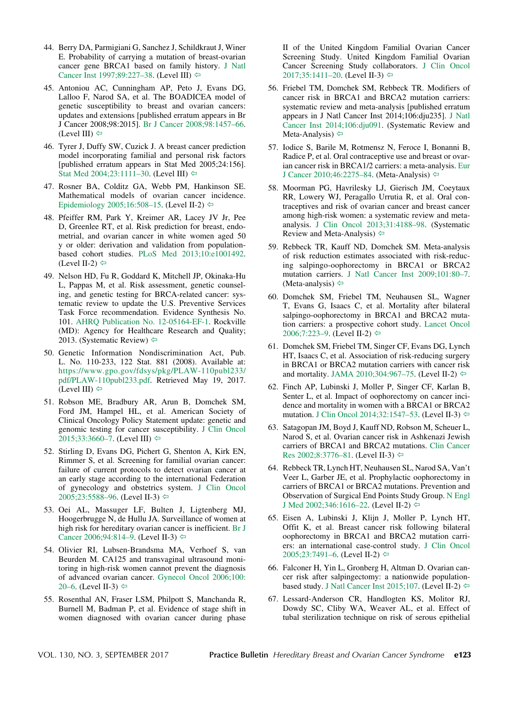- <span id="page-13-0"></span>44. Berry DA, Parmigiani G, Sanchez J, Schildkraut J, Winer E. Probability of carrying a mutation of breast-ovarian cancer gene BRCA1 based on family history. [J Natl](https://www.ncbi.nlm.nih.gov/pubmed/9017003) [Cancer Inst 1997;89:227–38.](https://www.ncbi.nlm.nih.gov/pubmed/9017003) (Level III)
- 45. Antoniou AC, Cunningham AP, Peto J, Evans DG, Lalloo F, Narod SA, et al. The BOADICEA model of genetic susceptibility to breast and ovarian cancers: updates and extensions [published erratum appears in Br J Cancer 2008;98:2015]. [Br J Cancer 2008;98:1457–66.](https://www.ncbi.nlm.nih.gov/pubmed/18349832) (Level III)  $\Leftrightarrow$
- 46. Tyrer J, Duffy SW, Cuzick J. A breast cancer prediction model incorporating familial and personal risk factors [published erratum appears in Stat Med 2005;24:156]. [Stat Med 2004;23:1111–30.](https://www.ncbi.nlm.nih.gov/pubmed/15057881) (Level III)
- <span id="page-13-1"></span>47. Rosner BA, Colditz GA, Webb PM, Hankinson SE. Mathematical models of ovarian cancer incidence. Epidemiology 2005;16:508-15. (Level II-2)  $\Leftrightarrow$
- <span id="page-13-2"></span>48. Pfeiffer RM, Park Y, Kreimer AR, Lacey JV Jr, Pee D, Greenlee RT, et al. Risk prediction for breast, endometrial, and ovarian cancer in white women aged 50 y or older: derivation and validation from populationbased cohort studies. [PLoS Med 2013;10:e1001492.](https://www.ncbi.nlm.nih.gov/pubmed/23935463) (Level II-2)  $\Leftrightarrow$
- <span id="page-13-3"></span>49. Nelson HD, Fu R, Goddard K, Mitchell JP, Okinaka-Hu L, Pappas M, et al. Risk assessment, genetic counseling, and genetic testing for BRCA-related cancer: systematic review to update the U.S. Preventive Services Task Force recommendation. Evidence Synthesis No. 101. [AHRQ Publication No. 12-05164-EF-1](https://www.ncbi.nlm.nih.gov/books/NBK179201/). Rockville (MD): Agency for Healthcare Research and Quality; 2013. (Systematic Review)  $\Leftrightarrow$
- <span id="page-13-5"></span>50. Genetic Information Nondiscrimination Act, Pub. L. No. 110-233, 122 Stat. 881 (2008). Available at: [https://www.gpo.gov/fdsys/pkg/PLAW-110publ233/](https://www.gpo.gov/fdsys/pkg/PLAW-110publ233/pdf/PLAW-110publ233.pdf) [pdf/PLAW-110publ233.pdf](https://www.gpo.gov/fdsys/pkg/PLAW-110publ233/pdf/PLAW-110publ233.pdf). Retrieved May 19, 2017. (Level III)  $\Leftrightarrow$
- <span id="page-13-4"></span>51. Robson ME, Bradbury AR, Arun B, Domchek SM, Ford JM, Hampel HL, et al. American Society of Clinical Oncology Policy Statement update: genetic and genomic testing for cancer susceptibility. [J Clin Oncol](https://www.ncbi.nlm.nih.gov/pubmed/26324357) [2015;33:3660–7](https://www.ncbi.nlm.nih.gov/pubmed/26324357). (Level III) ⇔
- <span id="page-13-6"></span>52. Stirling D, Evans DG, Pichert G, Shenton A, Kirk EN, Rimmer S, et al. Screening for familial ovarian cancer: failure of current protocols to detect ovarian cancer at an early stage according to the international Federation of gynecology and obstetrics system. [J Clin Oncol](https://www.ncbi.nlm.nih.gov/pubmed/16110018) [2005;23:5588–96.](https://www.ncbi.nlm.nih.gov/pubmed/16110018) (Level II-3) ⇔
- 53. Oei AL, Massuger LF, Bulten J, Ligtenberg MJ, Hoogerbrugge N, de Hullu JA. Surveillance of women at high risk for hereditary ovarian cancer is inefficient. [Br J](https://www.ncbi.nlm.nih.gov/pubmed/16495917) [Cancer 2006;94:814–9](https://www.ncbi.nlm.nih.gov/pubmed/16495917). (Level II-3) ⇔
- 54. Olivier RI, Lubsen-Brandsma MA, Verhoef S, van Beurden M. CA125 and transvaginal ultrasound monitoring in high-risk women cannot prevent the diagnosis of advanced ovarian cancer. [Gynecol Oncol 2006;100:](https://www.ncbi.nlm.nih.gov/pubmed/16188302) [20–6](https://www.ncbi.nlm.nih.gov/pubmed/16188302). (Level II-3)  $\Leftrightarrow$
- <span id="page-13-7"></span>55. Rosenthal AN, Fraser LSM, Philpott S, Manchanda R, Burnell M, Badman P, et al. Evidence of stage shift in women diagnosed with ovarian cancer during phase

II of the United Kingdom Familial Ovarian Cancer Screening Study. United Kingdom Familial Ovarian Cancer Screening Study collaborators. [J Clin Oncol](https://www.ncbi.nlm.nih.gov/pubmed/28240969) [2017;35:1411–20](https://www.ncbi.nlm.nih.gov/pubmed/28240969). (Level II-3) ⇔

- <span id="page-13-8"></span>56. Friebel TM, Domchek SM, Rebbeck TR. Modifiers of cancer risk in BRCA1 and BRCA2 mutation carriers: systematic review and meta-analysis [published erratum appears in J Natl Cancer Inst 2014;106:dju235]. [J Natl](https://www.ncbi.nlm.nih.gov/pubmed/24824314) [Cancer Inst 2014;106:dju091.](https://www.ncbi.nlm.nih.gov/pubmed/24824314) (Systematic Review and Meta-Analysis) ⇔
- <span id="page-13-14"></span>57. Iodice S, Barile M, Rotmensz N, Feroce I, Bonanni B, Radice P, et al. Oral contraceptive use and breast or ovarian cancer risk in BRCA1/2 carriers: a meta-analysis. [Eur](https://www.ncbi.nlm.nih.gov/pubmed/20537530) [J Cancer 2010;46:2275–84.](https://www.ncbi.nlm.nih.gov/pubmed/20537530) (Meta-Analysis)
- <span id="page-13-15"></span>58. Moorman PG, Havrilesky LJ, Gierisch JM, Coeytaux RR, Lowery WJ, Peragallo Urrutia R, et al. Oral contraceptives and risk of ovarian cancer and breast cancer among high-risk women: a systematic review and metaanalysis. [J Clin Oncol 2013;31:4188–98.](https://www.ncbi.nlm.nih.gov/pubmed/24145348) (Systematic Review and Meta-Analysis)
- <span id="page-13-16"></span>59. Rebbeck TR, Kauff ND, Domchek SM. Meta-analysis of risk reduction estimates associated with risk-reducing salpingo-oophorectomy in BRCA1 or BRCA2 mutation carriers. [J Natl Cancer Inst 2009;101:80–7](https://www.ncbi.nlm.nih.gov/pubmed/19141781). (Meta-analysis)  $\Leftrightarrow$
- <span id="page-13-17"></span>60. Domchek SM, Friebel TM, Neuhausen SL, Wagner T, Evans G, Isaacs C, et al. Mortality after bilateral salpingo-oophorectomy in BRCA1 and BRCA2 mutation carriers: a prospective cohort study. [Lancet Oncol](https://www.ncbi.nlm.nih.gov/pubmed/16510331) [2006;7:223–9.](https://www.ncbi.nlm.nih.gov/pubmed/16510331) (Level II-2) ⇔
- 61. Domchek SM, Friebel TM, Singer CF, Evans DG, Lynch HT, Isaacs C, et al. Association of risk-reducing surgery in BRCA1 or BRCA2 mutation carriers with cancer risk and mortality. JAMA 2010;304:967-75. (Level II-2)  $\Leftrightarrow$
- 62. Finch AP, Lubinski J, Moller P, Singer CF, Karlan B, Senter L, et al. Impact of oophorectomy on cancer incidence and mortality in women with a BRCA1 or BRCA2 mutation. [J Clin Oncol 2014;32:1547–53](https://www.ncbi.nlm.nih.gov/pubmed/24567435). (Level II-3)
- <span id="page-13-9"></span>63. Satagopan JM, Boyd J, Kauff ND, Robson M, Scheuer L, Narod S, et al. Ovarian cancer risk in Ashkenazi Jewish carriers of BRCA1 and BRCA2 mutations. [Clin Cancer](https://www.ncbi.nlm.nih.gov/pubmed/12473589) [Res 2002;8:3776–81](https://www.ncbi.nlm.nih.gov/pubmed/12473589). (Level II-3) ⇔
- <span id="page-13-10"></span>64. Rebbeck TR, Lynch HT, Neuhausen SL, Narod SA, Van't Veer L, Garber JE, et al. Prophylactic oophorectomy in carriers of BRCA1 or BRCA2 mutations. Prevention and Observation of Surgical End Points Study Group. [N Engl](https://www.ncbi.nlm.nih.gov/pubmed/12023993) [J Med 2002;346:1616–22](https://www.ncbi.nlm.nih.gov/pubmed/12023993). (Level II-2)
- <span id="page-13-11"></span>65. Eisen A, Lubinski J, Klijn J, Moller P, Lynch HT, Offit K, et al. Breast cancer risk following bilateral oophorectomy in BRCA1 and BRCA2 mutation carriers: an international case-control study. [J Clin Oncol](https://www.ncbi.nlm.nih.gov/pubmed/16234515) [2005;23:7491–6.](https://www.ncbi.nlm.nih.gov/pubmed/16234515) (Level II-2)
- <span id="page-13-12"></span>66. Falconer H, Yin L, Gronberg H, Altman D. Ovarian cancer risk after salpingectomy: a nationwide population-based study. [J Natl Cancer Inst 2015;107](https://www.ncbi.nlm.nih.gov/pubmed/25628372). (Level II-2)  $\Leftrightarrow$
- <span id="page-13-13"></span>67. Lessard-Anderson CR, Handlogten KS, Molitor RJ, Dowdy SC, Cliby WA, Weaver AL, et al. Effect of tubal sterilization technique on risk of serous epithelial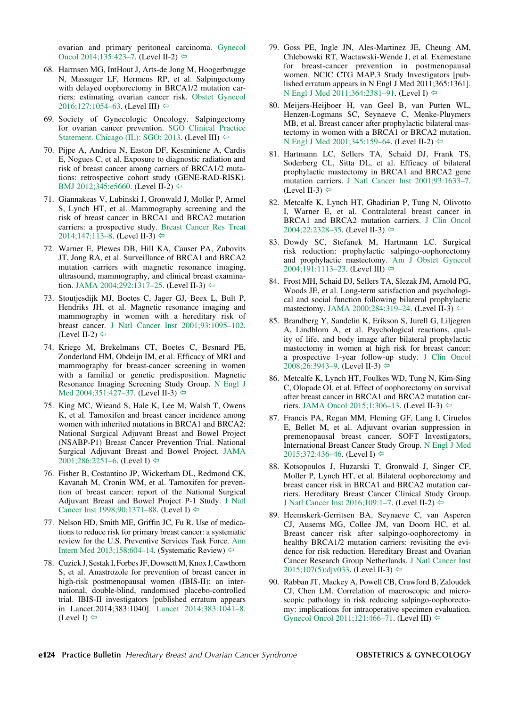ovarian and primary peritoneal carcinoma. [Gynecol](https://www.ncbi.nlm.nih.gov/pubmed/25316178)  [Oncol 2014;135:423–7](https://www.ncbi.nlm.nih.gov/pubmed/25316178). (Level II-2)  $\Leftrightarrow$ 

- <span id="page-14-0"></span>68. Harmsen MG, IntHout J, Arts-de Jong M, Hoogerbrugge N, Massuger LF, Hermens RP, et al. Salpingectomy with delayed oophorectomy in BRCA1/2 mutation carriers: estimating ovarian cancer risk. [Obstet Gynecol](http://journals.lww.com/greenjournal/fulltext/2016/06000/Salpingectomy_With_Delayed_Oophorectomy_in_BRCA1_2.11.aspx) [2016;127:1054–63](http://journals.lww.com/greenjournal/fulltext/2016/06000/Salpingectomy_With_Delayed_Oophorectomy_in_BRCA1_2.11.aspx). (Level III)  $\Leftrightarrow$
- <span id="page-14-1"></span>69. Society of Gynecologic Oncology. Salpingectomy for ovarian cancer prevention. [SGO Clinical Practice](https://www.sgo.org/clinical-practice/guidelines/sgo-clinical-practice-statement-salpingectomy-for-ovarian-cancer-prevention/) [Statement. Chicago \(IL\): SGO; 2013.](https://www.sgo.org/clinical-practice/guidelines/sgo-clinical-practice-statement-salpingectomy-for-ovarian-cancer-prevention/) (Level III) ⇔
- <span id="page-14-9"></span>70. Pijpe A, Andrieu N, Easton DF, Kesminiene A, Cardis E, Nogues C, et al. Exposure to diagnostic radiation and risk of breast cancer among carriers of BRCA1/2 mutations: retrospective cohort study (GENE-RAD-RISK). [BMJ 2012;345:e5660](https://www.ncbi.nlm.nih.gov/pubmed/22956590). (Level II-2) ⇔
- <span id="page-14-10"></span>71. Giannakeas V, Lubinski J, Gronwald J, Moller P, Armel S, Lynch HT, et al. Mammography screening and the risk of breast cancer in BRCA1 and BRCA2 mutation carriers: a prospective study. [Breast Cancer Res Treat](https://www.ncbi.nlm.nih.gov/pubmed/25082516) [2014;147:113–8](https://www.ncbi.nlm.nih.gov/pubmed/25082516). (Level II-3) ⇔
- <span id="page-14-11"></span>72. Warner E, Plewes DB, Hill KA, Causer PA, Zubovits JT, Jong RA, et al. Surveillance of BRCA1 and BRCA2 mutation carriers with magnetic resonance imaging, ultrasound, mammography, and clinical breast examination. JAMA 2004;292:1317-25. (Level II-3)  $\Leftrightarrow$
- 73. Stoutjesdijk MJ, Boetes C, Jager GJ, Beex L, Bult P, Hendriks JH, et al. Magnetic resonance imaging and mammography in women with a hereditary risk of breast cancer. [J Natl Cancer Inst 2001;93:1095–102.](https://www.ncbi.nlm.nih.gov/pubmed/11459871) (Level II-2)  $\Leftrightarrow$
- 74. Kriege M, Brekelmans CT, Boetes C, Besnard PE, Zonderland HM, Obdeijn IM, et al. Efficacy of MRI and mammography for breast-cancer screening in women with a familial or genetic predisposition. Magnetic Resonance Imaging Screening Study Group. [N Engl J](https://www.ncbi.nlm.nih.gov/pubmed/15282350) [Med 2004;351:427–37](https://www.ncbi.nlm.nih.gov/pubmed/15282350). (Level II-3)
- <span id="page-14-2"></span>75. King MC, Wieand S, Hale K, Lee M, Walsh T, Owens K, et al. Tamoxifen and breast cancer incidence among women with inherited mutations in BRCA1 and BRCA2: National Surgical Adjuvant Breast and Bowel Project (NSABP-P1) Breast Cancer Prevention Trial. National Surgical Adjuvant Breast and Bowel Project. [JAMA](https://www.ncbi.nlm.nih.gov/pubmed/11710890) [2001;286:2251–6.](https://www.ncbi.nlm.nih.gov/pubmed/11710890) (Level I)
- <span id="page-14-3"></span>76. Fisher B, Costantino JP, Wickerham DL, Redmond CK, Kavanah M, Cronin WM, et al. Tamoxifen for prevention of breast cancer: report of the National Surgical Adjuvant Breast and Bowel Project P-1 Study. [J Natl](https://www.ncbi.nlm.nih.gov/pubmed/9747868) [Cancer Inst 1998;90:1371–88](https://www.ncbi.nlm.nih.gov/pubmed/9747868). (Level I) ⇔
- <span id="page-14-4"></span>77. Nelson HD, Smith ME, Griffin JC, Fu R. Use of medications to reduce risk for primary breast cancer: a systematic review for the U.S. Preventive Services Task Force. [Ann](https://www.ncbi.nlm.nih.gov/pubmed/23588749) [Intern Med 2013;158:604–14](https://www.ncbi.nlm.nih.gov/pubmed/23588749). (Systematic Review)  $\Leftrightarrow$
- <span id="page-14-5"></span>78. Cuzick J, Sestak I, Forbes JF, Dowsett M, Knox J, Cawthorn S, et al. Anastrozole for prevention of breast cancer in high-risk postmenopausal women (IBIS-II): an international, double-blind, randomised placebo-controlled trial. IBIS-II investigators [published erratum appears in Lancet.2014;383:1040]. [Lancet 2014;383:1041–8.](https://www.ncbi.nlm.nih.gov/pubmed/24333009) (Level I)  $\Leftrightarrow$
- <span id="page-14-6"></span>79. Goss PE, Ingle JN, Ales-Martinez JE, Cheung AM, Chlebowski RT, Wactawski-Wende J, et al. Exemestane for breast-cancer prevention in postmenopausal women. NCIC CTG MAP.3 Study Investigators [published erratum appears in N Engl J Med 2011;365:1361]. [N Engl J Med 2011;364:2381–91.](https://www.ncbi.nlm.nih.gov/pubmed/21639806) (Level I) ⇔
- <span id="page-14-7"></span>80. Meijers-Heijboer H, van Geel B, van Putten WL, Henzen-Logmans SC, Seynaeve C, Menke-Pluymers MB, et al. Breast cancer after prophylactic bilateral mastectomy in women with a BRCA1 or BRCA2 mutation. [N Engl J Med 2001;345:159–64](https://www.ncbi.nlm.nih.gov/pubmed/11463009). (Level II-2) ⇔
- <span id="page-14-8"></span>81. Hartmann LC, Sellers TA, Schaid DJ, Frank TS, Soderberg CL, Sitta DL, et al. Efficacy of bilateral prophylactic mastectomy in BRCA1 and BRCA2 gene mutation carriers. [J Natl Cancer Inst 2001;93:1633–7](https://www.ncbi.nlm.nih.gov/pubmed/11698567). (Level II-3)  $\Leftrightarrow$
- <span id="page-14-14"></span>82. Metcalfe K, Lynch HT, Ghadirian P, Tung N, Olivotto I, Warner E, et al. Contralateral breast cancer in BRCA1 and BRCA2 mutation carriers. [J Clin Oncol](https://www.ncbi.nlm.nih.gov/pubmed/15197194)  [2004;22:2328–35](https://www.ncbi.nlm.nih.gov/pubmed/15197194). (Level II-3) ⇔
- <span id="page-14-15"></span>83. Dowdy SC, Stefanek M, Hartmann LC. Surgical risk reduction: prophylactic salpingo-oophorectomy and prophylactic mastectomy. [Am J Obstet Gynecol](https://www.ncbi.nlm.nih.gov/pubmed/15507929)  [2004;191:1113–23.](https://www.ncbi.nlm.nih.gov/pubmed/15507929) (Level III) ⇔
- <span id="page-14-16"></span>84. Frost MH, Schaid DJ, Sellers TA, Slezak JM, Arnold PG, Woods JE, et al. Long-term satisfaction and psychological and social function following bilateral prophylactic mastectomy. [JAMA 2000;284:319–24](https://www.ncbi.nlm.nih.gov/pubmed/10891963). (Level II-3) ⇔
- <span id="page-14-17"></span>85. Brandberg Y, Sandelin K, Erikson S, Jurell G, Liljegren A, Lindblom A, et al. Psychological reactions, quality of life, and body image after bilateral prophylactic mastectomy in women at high risk for breast cancer: a prospective 1-year follow-up study. [J Clin Oncol](https://www.ncbi.nlm.nih.gov/pubmed/18711183)  [2008;26:3943–9.](https://www.ncbi.nlm.nih.gov/pubmed/18711183) (Level II-3) ⇔
- <span id="page-14-18"></span>86. Metcalfe K, Lynch HT, Foulkes WD, Tung N, Kim-Sing C, Olopade OI, et al. Effect of oophorectomy on survival after breast cancer in BRCA1 and BRCA2 mutation carriers. JAMA Oncol 2015;1:306-13. (Level II-3)  $\Leftrightarrow$
- <span id="page-14-19"></span>87. Francis PA, Regan MM, Fleming GF, Lang I, Ciruelos E, Bellet M, et al. Adjuvant ovarian suppression in premenopausal breast cancer. SOFT Investigators, International Breast Cancer Study Group. [N Engl J Med](https://www.ncbi.nlm.nih.gov/pubmed/25495490)  [2015;372:436–46](https://www.ncbi.nlm.nih.gov/pubmed/25495490). (Level I) ⇔
- <span id="page-14-20"></span>88. Kotsopoulos J, Huzarski T, Gronwald J, Singer CF, Moller P, Lynch HT, et al. Bilateral oophorectomy and breast cancer risk in BRCA1 and BRCA2 mutation carriers. Hereditary Breast Cancer Clinical Study Group. [J Natl Cancer Inst 2016;109:1–7](https://www.ncbi.nlm.nih.gov/pubmed/27601060). (Level II-2)
- <span id="page-14-12"></span>89. Heemskerk-Gerritsen BA, Seynaeve C, van Asperen CJ, Ausems MG, Collee JM, van Doorn HC, et al. Breast cancer risk after salpingo-oophorectomy in healthy BRCA1/2 mutation carriers: revisiting the evidence for risk reduction. Hereditary Breast and Ovarian Cancer Research Group Netherlands. [J Natl Cancer Inst](https://www.ncbi.nlm.nih.gov/pubmed/25788320)  [2015;107\(5\):djv033](https://www.ncbi.nlm.nih.gov/pubmed/25788320). (Level II-3) ⇔
- <span id="page-14-13"></span>90. Rabban JT, Mackey A, Powell CB, Crawford B, Zaloudek CJ, Chen LM. Correlation of macroscopic and microscopic pathology in risk reducing salpingo-oophorectomy: implications for intraoperative specimen evaluation. Gynecol Oncol 2011;121:466-71. (Level III)  $\Leftrightarrow$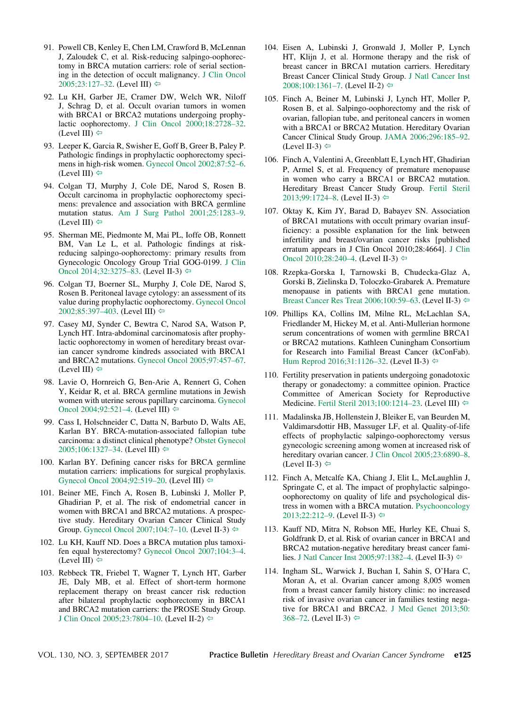- <span id="page-15-0"></span>91. Powell CB, Kenley E, Chen LM, Crawford B, McLennan J, Zaloudek C, et al. Risk-reducing salpingo-oophorectomy in BRCA mutation carriers: role of serial sectioning in the detection of occult malignancy. [J Clin Oncol](https://www.ncbi.nlm.nih.gov/pubmed/15625367) [2005;23:127–32](https://www.ncbi.nlm.nih.gov/pubmed/15625367). (Level III)
- <span id="page-15-7"></span>92. Lu KH, Garber JE, Cramer DW, Welch WR, Niloff J, Schrag D, et al. Occult ovarian tumors in women with BRCA1 or BRCA2 mutations undergoing prophylactic oophorectomy. [J Clin Oncol 2000;18:2728–32.](https://www.ncbi.nlm.nih.gov/pubmed/10894872) (Level III)  $\Leftrightarrow$
- 93. Leeper K, Garcia R, Swisher E, Goff B, Greer B, Paley P. Pathologic findings in prophylactic oophorectomy specimens in high-risk women. [Gynecol Oncol 2002;87:52–6.](https://www.ncbi.nlm.nih.gov/pubmed/12468342) (Level III)  $\Leftrightarrow$
- 94. Colgan TJ, Murphy J, Cole DE, Narod S, Rosen B. Occult carcinoma in prophylactic oophorectomy specimens: prevalence and association with BRCA germline mutation status. [Am J Surg Pathol 2001;25:1283–9.](https://www.ncbi.nlm.nih.gov/pubmed/11688463) (Level III)  $\Leftrightarrow$
- 95. Sherman ME, Piedmonte M, Mai PL, Ioffe OB, Ronnett BM, Van Le L, et al. Pathologic findings at riskreducing salpingo-oophorectomy: primary results from Gynecologic Oncology Group Trial GOG-0199. [J Clin](https://www.ncbi.nlm.nih.gov/pubmed/25199754) [Oncol 2014;32:3275–83](https://www.ncbi.nlm.nih.gov/pubmed/25199754). (Level II-3)
- <span id="page-15-8"></span>96. Colgan TJ, Boerner SL, Murphy J, Cole DE, Narod S, Rosen B. Peritoneal lavage cytology: an assessment of its value during prophylactic oophorectomy. [Gynecol Oncol](https://www.ncbi.nlm.nih.gov/pubmed/12051865) [2002;85:397–403.](https://www.ncbi.nlm.nih.gov/pubmed/12051865) (Level III) ⇔
- <span id="page-15-9"></span>97. Casey MJ, Synder C, Bewtra C, Narod SA, Watson P, Lynch HT. Intra-abdominal carcinomatosis after prophylactic oophorectomy in women of hereditary breast ovarian cancer syndrome kindreds associated with BRCA1 and BRCA2 mutations. [Gynecol Oncol 2005;97:457–67.](https://www.ncbi.nlm.nih.gov/pubmed/15863145) (Level III)  $\Leftrightarrow$
- <span id="page-15-10"></span>98. Lavie O, Hornreich G, Ben-Arie A, Rennert G, Cohen Y, Keidar R, et al. BRCA germline mutations in Jewish women with uterine serous papillary carcinoma. [Gynecol](https://www.ncbi.nlm.nih.gov/pubmed/14766242) Oncol 2004;92:521-4. (Level III)  $\Leftrightarrow$
- <span id="page-15-11"></span>99. Cass I, Holschneider C, Datta N, Barbuto D, Walts AE, Karlan BY. BRCA-mutation-associated fallopian tube carcinoma: a distinct clinical phenotype? [Obstet Gynecol](http://journals.lww.com/greenjournal/Fulltext/2005/12000/BRCA_Mutation_Associated_Fallopian_Tube_Carcinoma_.18.aspx) [2005;106:1327–34](http://journals.lww.com/greenjournal/Fulltext/2005/12000/BRCA_Mutation_Associated_Fallopian_Tube_Carcinoma_.18.aspx). (Level III) ⇔
- <span id="page-15-12"></span>100. Karlan BY. Defining cancer risks for BRCA germline mutation carriers: implications for surgical prophylaxis. [Gynecol Oncol 2004;92:519–20](https://www.ncbi.nlm.nih.gov/pubmed/14766241). (Level III)
- <span id="page-15-13"></span>101. Beiner ME, Finch A, Rosen B, Lubinski J, Moller P, Ghadirian P, et al. The risk of endometrial cancer in women with BRCA1 and BRCA2 mutations. A prospective study. Hereditary Ovarian Cancer Clinical Study Group. Gynecol Oncol 2007;104:7-10. (Level II-3)  $\Leftrightarrow$
- <span id="page-15-14"></span>102. Lu KH, Kauff ND. Does a BRCA mutation plus tamoxifen equal hysterectomy? [Gynecol Oncol 2007;104:3–4.](https://www.ncbi.nlm.nih.gov/pubmed/17222708) (Level III)  $\Leftrightarrow$
- <span id="page-15-1"></span>103. Rebbeck TR, Friebel T, Wagner T, Lynch HT, Garber JE, Daly MB, et al. Effect of short-term hormone replacement therapy on breast cancer risk reduction after bilateral prophylactic oophorectomy in BRCA1 and BRCA2 mutation carriers: the PROSE Study Group. [J Clin Oncol 2005;23:7804–10](https://www.ncbi.nlm.nih.gov/pubmed/16219936). (Level II-2)
- <span id="page-15-2"></span>104. Eisen A, Lubinski J, Gronwald J, Moller P, Lynch HT, Klijn J, et al. Hormone therapy and the risk of breast cancer in BRCA1 mutation carriers. Hereditary Breast Cancer Clinical Study Group. [J Natl Cancer Inst](https://www.ncbi.nlm.nih.gov/pubmed/18812548) [2008;100:1361–7](https://www.ncbi.nlm.nih.gov/pubmed/18812548). (Level II-2) ⇔
- <span id="page-15-3"></span>105. Finch A, Beiner M, Lubinski J, Lynch HT, Moller P, Rosen B, et al. Salpingo-oophorectomy and the risk of ovarian, fallopian tube, and peritoneal cancers in women with a BRCA1 or BRCA2 Mutation. Hereditary Ovarian Cancer Clinical Study Group. [JAMA 2006;296:185–92](https://www.ncbi.nlm.nih.gov/pubmed/16835424). (Level II-3)  $\Leftrightarrow$
- <span id="page-15-4"></span>106. Finch A, Valentini A, Greenblatt E, Lynch HT, Ghadirian P, Armel S, et al. Frequency of premature menopause in women who carry a BRCA1 or BRCA2 mutation. Hereditary Breast Cancer Study Group. [Fertil Steril](https://www.ncbi.nlm.nih.gov/pubmed/23414920) [2013;99:1724–8.](https://www.ncbi.nlm.nih.gov/pubmed/23414920) (Level II-3) ⇔
- 107. Oktay K, Kim JY, Barad D, Babayev SN. Association of BRCA1 mutations with occult primary ovarian insufficiency: a possible explanation for the link between infertility and breast/ovarian cancer risks [published erratum appears in J Clin Oncol 2010;28:4664]. [J Clin](https://www.ncbi.nlm.nih.gov/pubmed/19996028) [Oncol 2010;28:240–4](https://www.ncbi.nlm.nih.gov/pubmed/19996028). (Level II-3)  $\Leftrightarrow$
- 108. Rzepka-Gorska I, Tarnowski B, Chudecka-Glaz A, Gorski B, Zielinska D, Toloczko-Grabarek A. Premature menopause in patients with BRCA1 gene mutation. [Breast Cancer Res Treat 2006;100:59–63.](https://www.ncbi.nlm.nih.gov/pubmed/16773440) (Level II-3)  $\Leftrightarrow$
- <span id="page-15-5"></span>109. Phillips KA, Collins IM, Milne RL, McLachlan SA, Friedlander M, Hickey M, et al. Anti-Mullerian hormone serum concentrations of women with germline BRCA1 or BRCA2 mutations. Kathleen Cuningham Consortium for Research into Familial Breast Cancer (kConFab). [Hum Reprod 2016;31:1126–32](https://www.ncbi.nlm.nih.gov/pubmed/27094481). (Level II-3)
- <span id="page-15-6"></span>110. Fertility preservation in patients undergoing gonadotoxic therapy or gonadectomy: a committee opinion. Practice Committee of American Society for Reproductive Medicine. [Fertil Steril 2013;100:1214–23](https://www.ncbi.nlm.nih.gov/pubmed/24011612). (Level III)
- <span id="page-15-15"></span>111. Madalinska JB, Hollenstein J, Bleiker E, van Beurden M, Valdimarsdottir HB, Massuger LF, et al. Quality-of-life effects of prophylactic salpingo-oophorectomy versus gynecologic screening among women at increased risk of hereditary ovarian cancer. J Clin Oncol 2005;23:6890-8. (Level II-3)  $\Leftrightarrow$
- <span id="page-15-16"></span>112. Finch A, Metcalfe KA, Chiang J, Elit L, McLaughlin J, Springate C, et al. The impact of prophylactic salpingooophorectomy on quality of life and psychological distress in women with a BRCA mutation. [Psychooncology](https://www.ncbi.nlm.nih.gov/pubmed/21913283) [2013;22:212–9](https://www.ncbi.nlm.nih.gov/pubmed/21913283). (Level II-3) ⇔
- <span id="page-15-17"></span>113. Kauff ND, Mitra N, Robson ME, Hurley KE, Chuai S, Goldfrank D, et al. Risk of ovarian cancer in BRCA1 and BRCA2 mutation-negative hereditary breast cancer families. [J Natl Cancer Inst 2005;97:1382–4](https://www.ncbi.nlm.nih.gov/pubmed/16174860). (Level II-3)
- <span id="page-15-18"></span>114. Ingham SL, Warwick J, Buchan I, Sahin S, O'Hara C, Moran A, et al. Ovarian cancer among 8,005 women from a breast cancer family history clinic: no increased risk of invasive ovarian cancer in families testing negative for BRCA1 and BRCA2. [J Med Genet 2013;50:](https://www.ncbi.nlm.nih.gov/pubmed/23539753) [368–72](https://www.ncbi.nlm.nih.gov/pubmed/23539753). (Level II-3)  $\Leftrightarrow$